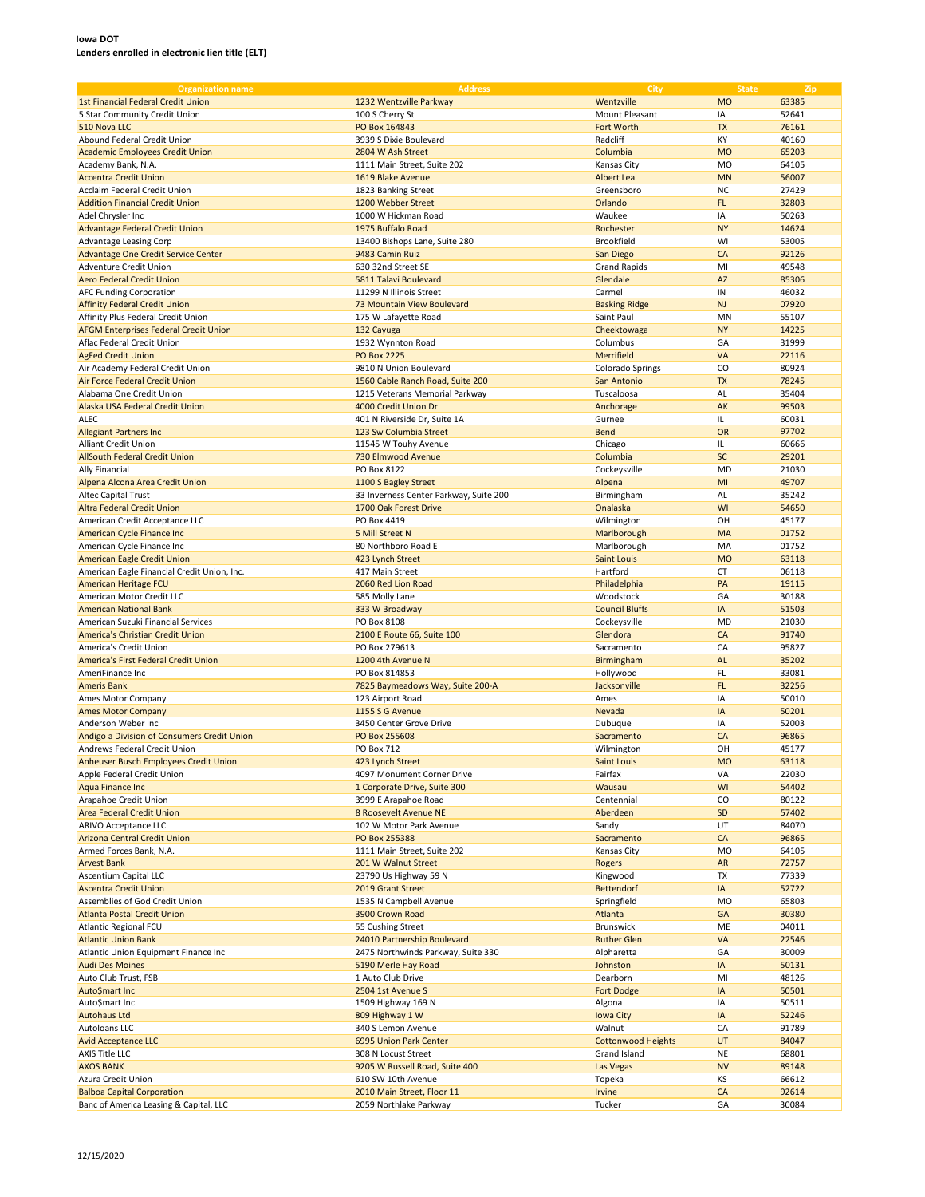| <b>Organization name</b>                                           | <b>Address</b>                         | City                      | <b>State</b> | Zip   |
|--------------------------------------------------------------------|----------------------------------------|---------------------------|--------------|-------|
| <b>1st Financial Federal Credit Union</b>                          | 1232 Wentzville Parkway                | Wentzville                | <b>MO</b>    | 63385 |
| 5 Star Community Credit Union                                      | 100 S Cherry St                        | <b>Mount Pleasant</b>     | IA           | 52641 |
| 510 Nova LLC                                                       | PO Box 164843                          | Fort Worth                | <b>TX</b>    | 76161 |
|                                                                    |                                        |                           |              |       |
| Abound Federal Credit Union                                        | 3939 S Dixie Boulevard                 | Radcliff                  | KY           | 40160 |
| <b>Academic Employees Credit Union</b>                             | 2804 W Ash Street                      | Columbia                  | <b>MO</b>    | 65203 |
| Academy Bank, N.A.                                                 | 1111 Main Street. Suite 202            | Kansas City               | <b>MO</b>    | 64105 |
| <b>Accentra Credit Union</b>                                       | 1619 Blake Avenue                      | Albert Lea                | <b>MN</b>    | 56007 |
| Acclaim Federal Credit Union                                       | 1823 Banking Street                    | Greensboro                | <b>NC</b>    | 27429 |
| <b>Addition Financial Credit Union</b>                             | 1200 Webber Street                     | Orlando                   | FL           | 32803 |
| Adel Chrysler Inc                                                  | 1000 W Hickman Road                    | Waukee                    | IA           | 50263 |
| <b>Advantage Federal Credit Union</b>                              | 1975 Buffalo Road                      | Rochester                 | <b>NY</b>    | 14624 |
| Advantage Leasing Corp                                             | 13400 Bishops Lane, Suite 280          | <b>Brookfield</b>         | WI           | 53005 |
| Advantage One Credit Service Center                                | 9483 Camin Ruiz                        | San Diego                 | CA           | 92126 |
| Adventure Credit Union                                             | 630 32nd Street SE                     | <b>Grand Rapids</b>       | MI           | 49548 |
| <b>Aero Federal Credit Union</b>                                   | 5811 Talavi Boulevard                  | Glendale                  | <b>AZ</b>    | 85306 |
| <b>AFC Funding Corporation</b>                                     | 11299 N Illinois Street                | Carmel                    | IN           | 46032 |
| <b>Affinity Federal Credit Union</b>                               | 73 Mountain View Boulevard             | <b>Basking Ridge</b>      | <b>NJ</b>    | 07920 |
|                                                                    |                                        |                           | MN           |       |
| Affinity Plus Federal Credit Union                                 | 175 W Lafayette Road                   | Saint Paul                |              | 55107 |
| <b>AFGM Enterprises Federal Credit Union</b>                       | 132 Cayuga                             | Cheektowaga               | <b>NY</b>    | 14225 |
| Aflac Federal Credit Union                                         | 1932 Wynnton Road                      | Columbus                  | GA           | 31999 |
| <b>AgFed Credit Union</b>                                          | <b>PO Box 2225</b>                     | Merrifield                | VA           | 22116 |
| Air Academy Federal Credit Union                                   | 9810 N Union Boulevard                 | Colorado Springs          | CO           | 80924 |
| Air Force Federal Credit Union                                     | 1560 Cable Ranch Road, Suite 200       | San Antonio               | <b>TX</b>    | 78245 |
| Alabama One Credit Union                                           | 1215 Veterans Memorial Parkway         | Tuscaloosa                | AL           | 35404 |
| Alaska USA Federal Credit Union                                    | 4000 Credit Union Dr                   | Anchorage                 | AK           | 99503 |
| <b>ALEC</b>                                                        | 401 N Riverside Dr, Suite 1A           | Gurnee                    | IL.          | 60031 |
| <b>Allegiant Partners Inc</b>                                      | 123 Sw Columbia Street                 | <b>Bend</b>               | OR           | 97702 |
| Alliant Credit Union                                               | 11545 W Touhy Avenue                   | Chicago                   | IL.          | 60666 |
| <b>AllSouth Federal Credit Union</b>                               | 730 Elmwood Avenue                     | Columbia                  | <b>SC</b>    | 29201 |
| Ally Financial                                                     | PO Box 8122                            | Cockeysville              | <b>MD</b>    | 21030 |
| Alpena Alcona Area Credit Union                                    |                                        |                           | MI           | 49707 |
|                                                                    | 1100 S Bagley Street                   | Alpena                    |              |       |
| <b>Altec Capital Trust</b>                                         | 33 Inverness Center Parkway, Suite 200 | Birmingham                | AL           | 35242 |
| Altra Federal Credit Union                                         | 1700 Oak Forest Drive                  | Onalaska                  | WI           | 54650 |
| American Credit Acceptance LLC                                     | PO Box 4419                            | Wilmington                | OH           | 45177 |
| American Cycle Finance Inc                                         | 5 Mill Street N                        | Marlborough               | MA           | 01752 |
| American Cycle Finance Inc                                         | 80 Northboro Road E                    | Marlborough               | MA           | 01752 |
| American Eagle Credit Union                                        | 423 Lynch Street                       | <b>Saint Louis</b>        | <b>MO</b>    | 63118 |
| American Eagle Financial Credit Union, Inc.                        | 417 Main Street                        | Hartford                  | CT           | 06118 |
| American Heritage FCU                                              | 2060 Red Lion Road                     | Philadelphia              | PA           | 19115 |
| American Motor Credit LLC                                          | 585 Molly Lane                         | Woodstock                 | GA           | 30188 |
| <b>American National Bank</b>                                      | 333 W Broadway                         | <b>Council Bluffs</b>     | IA           | 51503 |
| American Suzuki Financial Services                                 | PO Box 8108                            | Cockeysville              | <b>MD</b>    | 21030 |
| America's Christian Credit Union                                   | 2100 E Route 66, Suite 100             | Glendora                  | CA           | 91740 |
| America's Credit Union                                             | PO Box 279613                          | Sacramento                | CA           | 95827 |
| America's First Federal Credit Union                               | 1200 4th Avenue N                      | Birmingham                | AL           | 35202 |
| AmeriFinance Inc                                                   |                                        |                           | FL           |       |
|                                                                    | PO Box 814853                          | Hollywood                 |              | 33081 |
| <b>Ameris Bank</b>                                                 | 7825 Baymeadows Way, Suite 200-A       | Jacksonville              | FL           | 32256 |
| Ames Motor Company                                                 | 123 Airport Road                       | Ames                      | IA           | 50010 |
| <b>Ames Motor Company</b>                                          | 1155 S G Avenue                        | Nevada                    | IA           | 50201 |
| Anderson Weber Inc                                                 | 3450 Center Grove Drive                | Dubuque                   | IA           | 52003 |
| Andigo a Division of Consumers Credit Union                        | PO Box 255608                          | Sacramento                | CA           | 96865 |
| Andrews Federal Credit Union                                       | <b>PO Box 712</b>                      | Wilmington                | OH           | 45177 |
| Anheuser Busch Employees Credit Union                              | 423 Lynch Street                       | <b>Saint Louis</b>        | <b>MO</b>    | 63118 |
| Apple Federal Credit Union                                         | 4097 Monument Corner Drive             | Fairfax                   | VA           | 22030 |
| <b>Aqua Finance Inc</b>                                            | 1 Corporate Drive, Suite 300           | Wausau                    | WI           | 54402 |
| Arapahoe Credit Union                                              | 3999 E Arapahoe Road                   | Centennial                | CO           | 80122 |
| Area Federal Credit Union                                          | 8 Roosevelt Avenue NE                  | Aberdeen                  | SD           | 57402 |
| ARIVO Acceptance LLC                                               | 102 W Motor Park Avenue                | Sandy                     | UT           | 84070 |
| <b>Arizona Central Credit Union</b>                                | PO Box 255388                          | Sacramento                | CA           | 96865 |
| Armed Forces Bank, N.A.                                            | 1111 Main Street, Suite 202            | Kansas City               | <b>MO</b>    | 64105 |
| <b>Arvest Bank</b>                                                 | 201 W Walnut Street                    | <b>Rogers</b>             | AR           | 72757 |
| Ascentium Capital LLC                                              | 23790 Us Highway 59 N                  | Kingwood                  | TX           | 77339 |
| <b>Ascentra Credit Union</b>                                       | 2019 Grant Street                      | <b>Bettendorf</b>         | IA           | 52722 |
| Assemblies of God Credit Union                                     | 1535 N Campbell Avenue                 | Springfield               | <b>MO</b>    | 65803 |
|                                                                    |                                        |                           |              |       |
| <b>Atlanta Postal Credit Union</b><br><b>Atlantic Regional FCU</b> | 3900 Crown Road                        | Atlanta<br>Brunswick      | GA           | 30380 |
|                                                                    | 55 Cushing Street                      |                           | ME           | 04011 |
| <b>Atlantic Union Bank</b>                                         | 24010 Partnership Boulevard            | <b>Ruther Glen</b>        | VA           | 22546 |
| Atlantic Union Equipment Finance Inc                               | 2475 Northwinds Parkway, Suite 330     | Alpharetta                | GA           | 30009 |
| <b>Audi Des Moines</b>                                             | 5190 Merle Hay Road                    | Johnston                  | IA           | 50131 |
| Auto Club Trust, FSB                                               | 1 Auto Club Drive                      | Dearborn                  | MI           | 48126 |
| Auto\$mart Inc                                                     | 2504 1st Avenue S                      | <b>Fort Dodge</b>         | IA           | 50501 |
| Auto\$mart Inc                                                     | 1509 Highway 169 N                     | Algona                    | IA           | 50511 |
| <b>Autohaus Ltd</b>                                                | 809 Highway 1 W                        | Iowa City                 | IA           | 52246 |
| Autoloans LLC                                                      | 340 S Lemon Avenue                     | Walnut                    | CA           | 91789 |
| <b>Avid Acceptance LLC</b>                                         | 6995 Union Park Center                 | <b>Cottonwood Heights</b> | <b>UT</b>    | 84047 |
| <b>AXIS Title LLC</b>                                              | 308 N Locust Street                    | Grand Island              | <b>NE</b>    | 68801 |
| <b>AXOS BANK</b>                                                   | 9205 W Russell Road, Suite 400         | Las Vegas                 | <b>NV</b>    | 89148 |
| Azura Credit Union                                                 | 610 SW 10th Avenue                     | Topeka                    | ΚS           | 66612 |
| <b>Balboa Capital Corporation</b>                                  | 2010 Main Street, Floor 11             | <b>Irvine</b>             | CA           | 92614 |
| Banc of America Leasing & Capital, LLC                             | 2059 Northlake Parkway                 | Tucker                    | GA           | 30084 |
|                                                                    |                                        |                           |              |       |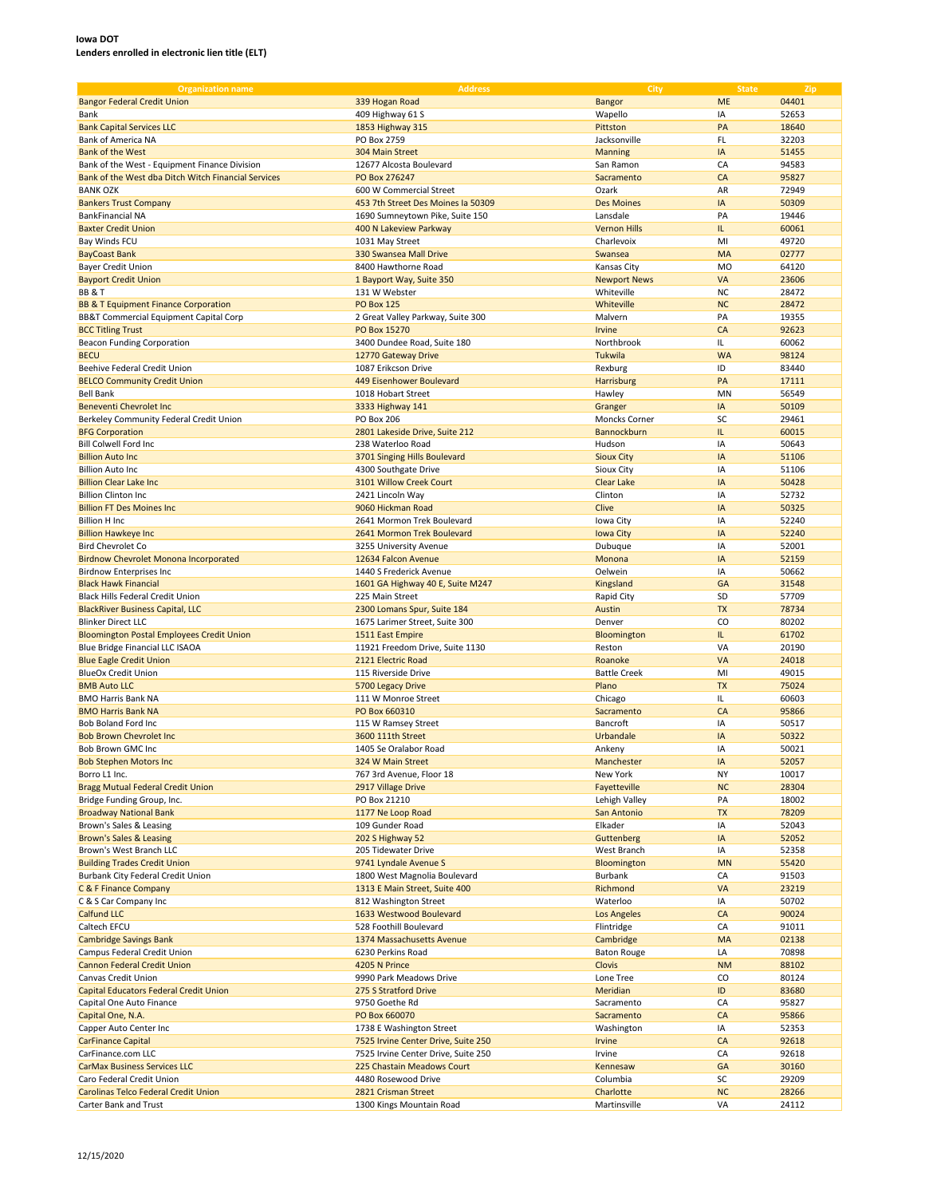| <b>Organization name</b>                            | <b>Address</b>                      | City                | <b>State</b> | Zip   |
|-----------------------------------------------------|-------------------------------------|---------------------|--------------|-------|
| <b>Bangor Federal Credit Union</b>                  | 339 Hogan Road                      | <b>Bangor</b>       | <b>ME</b>    | 04401 |
| Bank                                                | 409 Highway 61 S                    | Wapello             | IA           | 52653 |
| <b>Bank Capital Services LLC</b>                    | 1853 Highway 315                    | Pittston            | PA           | 18640 |
| Bank of America NA                                  | PO Box 2759                         | Jacksonville        | FL           | 32203 |
|                                                     |                                     |                     |              |       |
| <b>Bank of the West</b>                             | 304 Main Street                     | <b>Manning</b>      | IA           | 51455 |
| Bank of the West - Equipment Finance Division       | 12677 Alcosta Boulevard             | San Ramon           | CA           | 94583 |
| Bank of the West dba Ditch Witch Financial Services | PO Box 276247                       | Sacramento          | CA           | 95827 |
| <b>BANK OZK</b>                                     | 600 W Commercial Street             | Ozark               | AR           | 72949 |
| <b>Bankers Trust Company</b>                        | 453 7th Street Des Moines la 50309  | <b>Des Moines</b>   | IA           | 50309 |
| <b>BankFinancial NA</b>                             | 1690 Sumneytown Pike, Suite 150     | Lansdale            | PA           | 19446 |
| <b>Baxter Credit Union</b>                          | 400 N Lakeview Parkway              | <b>Vernon Hills</b> | IL.          | 60061 |
| Bay Winds FCU                                       | 1031 May Street                     | Charlevoix          | MI           | 49720 |
| <b>BayCoast Bank</b>                                | 330 Swansea Mall Drive              | Swansea             | MA           | 02777 |
| <b>Bayer Credit Union</b>                           | 8400 Hawthorne Road                 | Kansas City         | <b>MO</b>    | 64120 |
| <b>Bayport Credit Union</b>                         | 1 Bayport Way, Suite 350            | <b>Newport News</b> | VA           | 23606 |
| <b>BB &amp; T</b>                                   | 131 W Webster                       | Whiteville          | <b>NC</b>    | 28472 |
| <b>BB &amp; T Equipment Finance Corporation</b>     | <b>PO Box 125</b>                   | Whiteville          | <b>NC</b>    | 28472 |
| BB&T Commercial Equipment Capital Corp              | 2 Great Valley Parkway, Suite 300   | Malvern             | PA           | 19355 |
| <b>BCC Titling Trust</b>                            | PO Box 15270                        | Irvine              | CA           | 92623 |
|                                                     | 3400 Dundee Road, Suite 180         | Northbrook          | IL.          | 60062 |
| <b>Beacon Funding Corporation</b>                   |                                     |                     | <b>WA</b>    |       |
| <b>BECU</b>                                         | 12770 Gateway Drive                 | Tukwila             |              | 98124 |
| Beehive Federal Credit Union                        | 1087 Erikcson Drive                 | Rexburg             | ID           | 83440 |
| <b>BELCO Community Credit Union</b>                 | 449 Eisenhower Boulevard            | Harrisburg          | PA           | 17111 |
| <b>Bell Bank</b>                                    | 1018 Hobart Street                  | Hawley              | MN           | 56549 |
| <b>Beneventi Chevrolet Inc.</b>                     | 3333 Highway 141                    | Granger             | IA           | 50109 |
| Berkeley Community Federal Credit Union             | <b>PO Box 206</b>                   | Moncks Corner       | SC           | 29461 |
| <b>BFG Corporation</b>                              | 2801 Lakeside Drive, Suite 212      | Bannockburn         | IL.          | 60015 |
| <b>Bill Colwell Ford Inc</b>                        | 238 Waterloo Road                   | Hudson              | IA           | 50643 |
| <b>Billion Auto Inc.</b>                            | 3701 Singing Hills Boulevard        | <b>Sioux City</b>   | IA           | 51106 |
| <b>Billion Auto Inc</b>                             | 4300 Southgate Drive                | Sioux City          | IA           | 51106 |
| <b>Billion Clear Lake Inc.</b>                      | 3101 Willow Creek Court             | <b>Clear Lake</b>   | IA           | 50428 |
| <b>Billion Clinton Inc</b>                          | 2421 Lincoln Way                    | Clinton             | IA           | 52732 |
| <b>Billion FT Des Moines Inc.</b>                   | 9060 Hickman Road                   | Clive               | IA           | 50325 |
| <b>Billion H Inc</b>                                | 2641 Mormon Trek Boulevard          | Iowa City           | IA           | 52240 |
| <b>Billion Hawkeye Inc</b>                          | 2641 Mormon Trek Boulevard          | <b>Iowa City</b>    | IA           | 52240 |
| <b>Bird Chevrolet Co</b>                            | 3255 University Avenue              | Dubuque             | IA           | 52001 |
|                                                     | 12634 Falcon Avenue                 | Monona              | IA           | 52159 |
| <b>Birdnow Chevrolet Monona Incorporated</b>        |                                     |                     |              |       |
| <b>Birdnow Enterprises Inc</b>                      | 1440 S Frederick Avenue             | Oelwein             | IA           | 50662 |
| <b>Black Hawk Financial</b>                         | 1601 GA Highway 40 E, Suite M247    | Kingsland           | GA           | 31548 |
| Black Hills Federal Credit Union                    | 225 Main Street                     | Rapid City          | SD           | 57709 |
| <b>BlackRiver Business Capital, LLC</b>             | 2300 Lomans Spur, Suite 184         | Austin              | <b>TX</b>    | 78734 |
| <b>Blinker Direct LLC</b>                           | 1675 Larimer Street, Suite 300      | Denver              | CO           | 80202 |
| <b>Bloomington Postal Employees Credit Union</b>    | 1511 East Empire                    | Bloomington         | IL.          | 61702 |
| Blue Bridge Financial LLC ISAOA                     | 11921 Freedom Drive, Suite 1130     | Reston              | VA           | 20190 |
| <b>Blue Eagle Credit Union</b>                      | 2121 Electric Road                  | Roanoke             | VA           | 24018 |
| <b>BlueOx Credit Union</b>                          | 115 Riverside Drive                 | <b>Battle Creek</b> | MI           | 49015 |
| <b>BMB Auto LLC</b>                                 | 5700 Legacy Drive                   | Plano               | <b>TX</b>    | 75024 |
| <b>BMO Harris Bank NA</b>                           | 111 W Monroe Street                 | Chicago             | IL.          | 60603 |
| <b>BMO Harris Bank NA</b>                           | PO Box 660310                       | Sacramento          | CA           | 95866 |
| Bob Boland Ford Inc                                 | 115 W Ramsey Street                 | Bancroft            | IA           | 50517 |
| <b>Bob Brown Chevrolet Inc.</b>                     | 3600 111th Street                   | Urbandale           | IA           | 50322 |
| Bob Brown GMC Inc                                   | 1405 Se Oralabor Road               | Ankeny              | IA           | 50021 |
| <b>Bob Stephen Motors Inc</b>                       | 324 W Main Street                   | Manchester          | IA           | 52057 |
| Borro L1 Inc.                                       | 767 3rd Avenue, Floor 18            | New York            | NY           | 10017 |
| <b>Bragg Mutual Federal Credit Union</b>            | 2917 Village Drive                  | Fayetteville        | <b>NC</b>    | 28304 |
| Bridge Funding Group, Inc.                          | PO Box 21210                        | Lehigh Valley       | PA           | 18002 |
| <b>Broadway National Bank</b>                       | 1177 Ne Loop Road                   | San Antonio         | <b>TX</b>    | 78209 |
| Brown's Sales & Leasing                             | 109 Gunder Road                     | Elkader             | IA           | 52043 |
| Brown's Sales & Leasing                             | 202 S Highway 52                    | Guttenberg          | IA           | 52052 |
| Brown's West Branch LLC                             | 205 Tidewater Drive                 | West Branch         | IA           | 52358 |
|                                                     |                                     |                     |              |       |
| <b>Building Trades Credit Union</b>                 | 9741 Lyndale Avenue S               | Bloomington         | <b>MN</b>    | 55420 |
| Burbank City Federal Credit Union                   | 1800 West Magnolia Boulevard        | Burbank             | CA           | 91503 |
| C & F Finance Company                               | 1313 E Main Street, Suite 400       | Richmond            | VA           | 23219 |
| C & S Car Company Inc                               | 812 Washington Street               | Waterloo            | IA           | 50702 |
| <b>Calfund LLC</b>                                  | 1633 Westwood Boulevard             | Los Angeles         | CA           | 90024 |
| Caltech EFCU                                        | 528 Foothill Boulevard              | Flintridge          | CA           | 91011 |
| <b>Cambridge Savings Bank</b>                       | 1374 Massachusetts Avenue           | Cambridge           | MA           | 02138 |
| Campus Federal Credit Union                         | 6230 Perkins Road                   | <b>Baton Rouge</b>  | LA           | 70898 |
| <b>Cannon Federal Credit Union</b>                  | 4205 N Prince                       | Clovis              | <b>NM</b>    | 88102 |
| Canvas Credit Union                                 | 9990 Park Meadows Drive             | Lone Tree           | CO           | 80124 |
| Capital Educators Federal Credit Union              | 275 S Stratford Drive               | Meridian            | ID           | 83680 |
| Capital One Auto Finance                            | 9750 Goethe Rd                      | Sacramento          | CA           | 95827 |
| Capital One, N.A.                                   | PO Box 660070                       | Sacramento          | CA           | 95866 |
| Capper Auto Center Inc                              | 1738 E Washington Street            | Washington          | IA           | 52353 |
| <b>CarFinance Capital</b>                           | 7525 Irvine Center Drive, Suite 250 | <b>Irvine</b>       | CA           | 92618 |
| CarFinance.com LLC                                  | 7525 Irvine Center Drive, Suite 250 | Irvine              | CA           | 92618 |
| <b>CarMax Business Services LLC</b>                 | 225 Chastain Meadows Court          | Kennesaw            | GA           | 30160 |
| Caro Federal Credit Union                           | 4480 Rosewood Drive                 | Columbia            | SC           | 29209 |
| Carolinas Telco Federal Credit Union                | 2821 Crisman Street                 | Charlotte           | NC           | 28266 |
| Carter Bank and Trust                               | 1300 Kings Mountain Road            | Martinsville        | VA           | 24112 |
|                                                     |                                     |                     |              |       |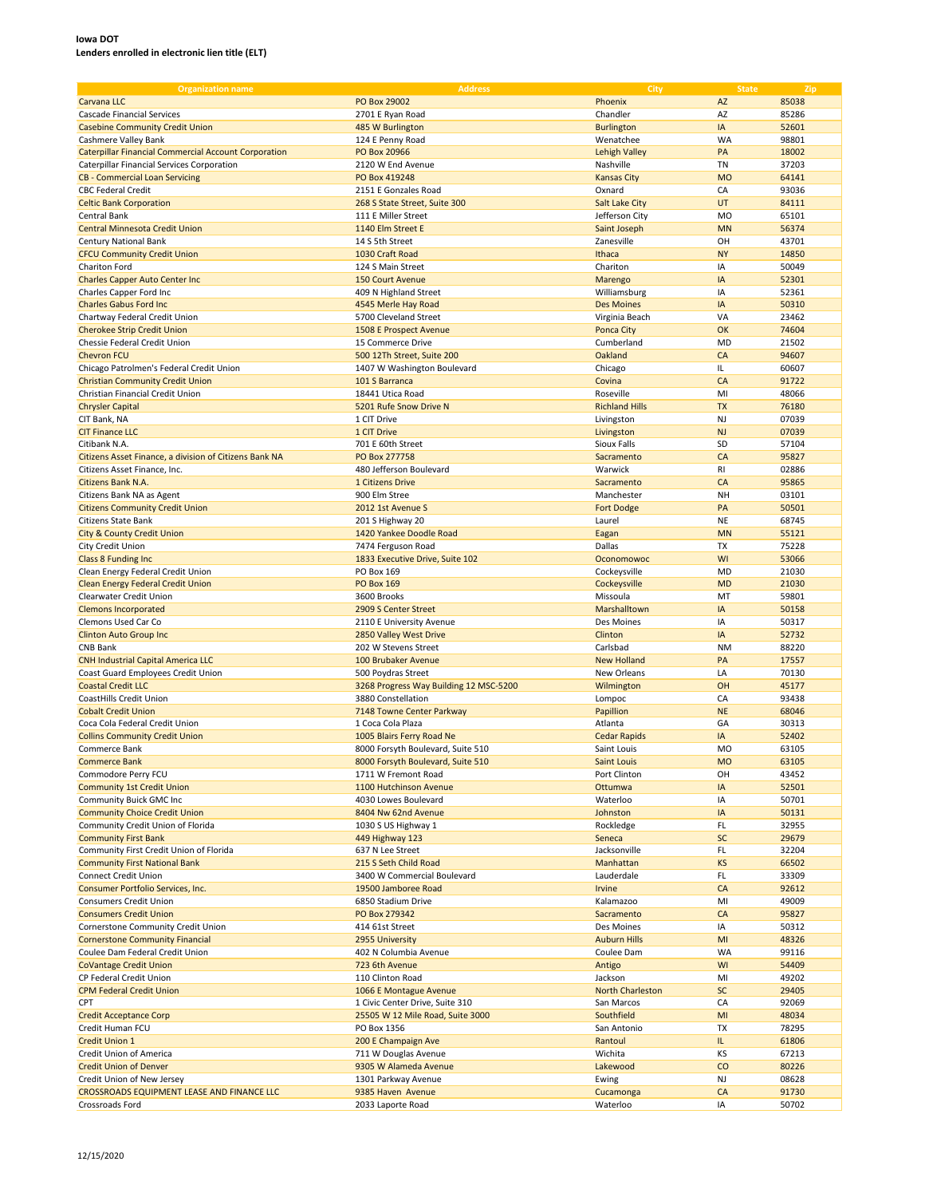| <b>Organization name</b>                                    | <b>Address</b>                         | <b>City</b>             | <b>State</b> | Zip   |
|-------------------------------------------------------------|----------------------------------------|-------------------------|--------------|-------|
| Carvana LLC                                                 | PO Box 29002                           | Phoenix                 | <b>AZ</b>    | 85038 |
| <b>Cascade Financial Services</b>                           | 2701 E Ryan Road                       | Chandler                | AZ           | 85286 |
| <b>Casebine Community Credit Union</b>                      | 485 W Burlington                       | <b>Burlington</b>       | IA           | 52601 |
|                                                             |                                        |                         | WA           |       |
| Cashmere Valley Bank                                        | 124 E Penny Road                       | Wenatchee               |              | 98801 |
| <b>Caterpillar Financial Commercial Account Corporation</b> | PO Box 20966                           | <b>Lehigh Valley</b>    | PA           | 18002 |
| Caterpillar Financial Services Corporation                  | 2120 W End Avenue                      | Nashville               | TN           | 37203 |
| <b>CB - Commercial Loan Servicing</b>                       | PO Box 419248                          | <b>Kansas City</b>      | <b>MO</b>    | 64141 |
| <b>CBC Federal Credit</b>                                   | 2151 E Gonzales Road                   | Oxnard                  | CA           | 93036 |
| <b>Celtic Bank Corporation</b>                              | 268 S State Street, Suite 300          | <b>Salt Lake City</b>   | UT           | 84111 |
| <b>Central Bank</b>                                         | 111 E Miller Street                    | Jefferson City          | MO           | 65101 |
| <b>Central Minnesota Credit Union</b>                       | 1140 Elm Street E                      | Saint Joseph            | <b>MN</b>    | 56374 |
| Century National Bank                                       | 14 S 5th Street                        | Zanesville              | OH           | 43701 |
| <b>CFCU Community Credit Union</b>                          | 1030 Craft Road                        | Ithaca                  | <b>NY</b>    | 14850 |
| Chariton Ford                                               | 124 S Main Street                      | Chariton                | IA           | 50049 |
| <b>Charles Capper Auto Center Inc.</b>                      | <b>150 Court Avenue</b>                | Marengo                 | IA           | 52301 |
| Charles Capper Ford Inc                                     | 409 N Highland Street                  | Williamsburg            | IA           | 52361 |
|                                                             |                                        |                         |              |       |
| <b>Charles Gabus Ford Inc</b>                               | 4545 Merle Hay Road                    | <b>Des Moines</b>       | IA           | 50310 |
| Chartway Federal Credit Union                               | 5700 Cleveland Street                  | Virginia Beach          | VA           | 23462 |
| <b>Cherokee Strip Credit Union</b>                          | 1508 E Prospect Avenue                 | <b>Ponca City</b>       | OK           | 74604 |
| Chessie Federal Credit Union                                | 15 Commerce Drive                      | Cumberland              | <b>MD</b>    | 21502 |
| <b>Chevron FCU</b>                                          | 500 12Th Street, Suite 200             | Oakland                 | CA           | 94607 |
| Chicago Patrolmen's Federal Credit Union                    | 1407 W Washington Boulevard            | Chicago                 | IL.          | 60607 |
| <b>Christian Community Credit Union</b>                     | 101 S Barranca                         | Covina                  | CA           | 91722 |
| Christian Financial Credit Union                            | 18441 Utica Road                       | Roseville               | MI           | 48066 |
| <b>Chrysler Capital</b>                                     | 5201 Rufe Snow Drive N                 | <b>Richland Hills</b>   | <b>TX</b>    | 76180 |
| CIT Bank, NA                                                | 1 CIT Drive                            | Livingston              | NJ           | 07039 |
| <b>CIT Finance LLC</b>                                      | 1 CIT Drive                            | Livingston              | NJ           | 07039 |
|                                                             |                                        | <b>Sioux Falls</b>      | SD           |       |
| Citibank N.A.                                               | 701 E 60th Street                      |                         |              | 57104 |
| Citizens Asset Finance, a division of Citizens Bank NA      | PO Box 277758                          | Sacramento              | CA           | 95827 |
| Citizens Asset Finance, Inc.                                | 480 Jefferson Boulevard                | Warwick                 | RI           | 02886 |
| Citizens Bank N.A.                                          | 1 Citizens Drive                       | Sacramento              | CA           | 95865 |
| Citizens Bank NA as Agent                                   | 900 Elm Stree                          | Manchester              | NH           | 03101 |
| <b>Citizens Community Credit Union</b>                      | 2012 1st Avenue S                      | <b>Fort Dodge</b>       | PA           | 50501 |
| Citizens State Bank                                         | 201 S Highway 20                       | Laurel                  | <b>NE</b>    | 68745 |
| <b>City &amp; County Credit Union</b>                       | 1420 Yankee Doodle Road                | Eagan                   | <b>MN</b>    | 55121 |
| City Credit Union                                           | 7474 Ferguson Road                     | Dallas                  | TX           | 75228 |
| Class 8 Funding Inc                                         | 1833 Executive Drive, Suite 102        | Oconomowoc              | WI           | 53066 |
| Clean Energy Federal Credit Union                           | PO Box 169                             | Cockeysville            | MD           | 21030 |
|                                                             |                                        |                         |              |       |
| <b>Clean Energy Federal Credit Union</b>                    | <b>PO Box 169</b>                      | Cockeysville            | <b>MD</b>    | 21030 |
| Clearwater Credit Union                                     | 3600 Brooks                            | Missoula                | MT           | 59801 |
| <b>Clemons Incorporated</b>                                 | 2909 S Center Street                   | Marshalltown            | IA           | 50158 |
| Clemons Used Car Co                                         | 2110 E University Avenue               | Des Moines              | IA           | 50317 |
| <b>Clinton Auto Group Inc</b>                               | 2850 Valley West Drive                 | Clinton                 | IA           | 52732 |
| <b>CNB Bank</b>                                             | 202 W Stevens Street                   | Carlsbad                | <b>NM</b>    | 88220 |
| <b>CNH Industrial Capital America LLC</b>                   | 100 Brubaker Avenue                    | <b>New Holland</b>      | PA           | 17557 |
| Coast Guard Employees Credit Union                          | 500 Poydras Street                     | New Orleans             | LA           | 70130 |
| <b>Coastal Credit LLC</b>                                   | 3268 Progress Way Building 12 MSC-5200 | Wilmington              | OH           | 45177 |
| CoastHills Credit Union                                     | 3880 Constellation                     | Lompoc                  | CA           | 93438 |
| <b>Cobalt Credit Union</b>                                  | 7148 Towne Center Parkway              | Papillion               | <b>NE</b>    | 68046 |
| Coca Cola Federal Credit Union                              | 1 Coca Cola Plaza                      | Atlanta                 | GA           | 30313 |
| <b>Collins Community Credit Union</b>                       |                                        | <b>Cedar Rapids</b>     | IA           | 52402 |
|                                                             | 1005 Blairs Ferry Road Ne              |                         |              |       |
| Commerce Bank                                               | 8000 Forsyth Boulevard, Suite 510      | Saint Louis             | <b>MO</b>    | 63105 |
| <b>Commerce Bank</b>                                        | 8000 Forsyth Boulevard, Suite 510      | Saint Louis             | <b>MO</b>    | 63105 |
| Commodore Perry FCU                                         | 1711 W Fremont Road                    | Port Clinton            | OH           | 43452 |
| <b>Community 1st Credit Union</b>                           | 1100 Hutchinson Avenue                 | Ottumwa                 | IA           | 52501 |
| <b>Community Buick GMC Inc</b>                              | 4030 Lowes Boulevard                   | Waterloo                | IA           | 50701 |
| <b>Community Choice Credit Union</b>                        | 8404 Nw 62nd Avenue                    | Johnston                | IA           | 50131 |
| Community Credit Union of Florida                           | 1030 S US Highway 1                    | Rockledge               | FL           | 32955 |
| <b>Community First Bank</b>                                 | 449 Highway 123                        | Seneca                  | SC           | 29679 |
| Community First Credit Union of Florida                     | 637 N Lee Street                       | Jacksonville            | FL           | 32204 |
| <b>Community First National Bank</b>                        | 215 S Seth Child Road                  | Manhattan               | KS           | 66502 |
| Connect Credit Union                                        | 3400 W Commercial Boulevard            | Lauderdale              | FL           | 33309 |
| Consumer Portfolio Services, Inc.                           | 19500 Jamboree Road                    | Irvine                  | CA           | 92612 |
| <b>Consumers Credit Union</b>                               | 6850 Stadium Drive                     | Kalamazoo               | MI           | 49009 |
| <b>Consumers Credit Union</b>                               | PO Box 279342                          | Sacramento              | CA           | 95827 |
|                                                             |                                        | Des Moines              |              |       |
| Cornerstone Community Credit Union                          | 414 61st Street                        |                         | IA           | 50312 |
| <b>Cornerstone Community Financial</b>                      | 2955 University                        | <b>Auburn Hills</b>     | MI           | 48326 |
| Coulee Dam Federal Credit Union                             | 402 N Columbia Avenue                  | Coulee Dam              | <b>WA</b>    | 99116 |
| <b>CoVantage Credit Union</b>                               | 723 6th Avenue                         | Antigo                  | WI           | 54409 |
| CP Federal Credit Union                                     | 110 Clinton Road                       | Jackson                 | MI           | 49202 |
| <b>CPM Federal Credit Union</b>                             | 1066 E Montague Avenue                 | <b>North Charleston</b> | SC           | 29405 |
| CPT                                                         | 1 Civic Center Drive, Suite 310        | San Marcos              | CA           | 92069 |
| <b>Credit Acceptance Corp</b>                               | 25505 W 12 Mile Road, Suite 3000       | Southfield              | MI           | 48034 |
| Credit Human FCU                                            | PO Box 1356                            | San Antonio             | TX           | 78295 |
| <b>Credit Union 1</b>                                       | 200 E Champaign Ave                    | Rantoul                 | IL.          | 61806 |
| Credit Union of America                                     | 711 W Douglas Avenue                   | Wichita                 | ΚS           | 67213 |
| <b>Credit Union of Denver</b>                               | 9305 W Alameda Avenue                  | Lakewood                | CO           | 80226 |
|                                                             |                                        |                         |              |       |
| Credit Union of New Jersey                                  | 1301 Parkway Avenue                    | Ewing                   | NJ           | 08628 |
| CROSSROADS EQUIPMENT LEASE AND FINANCE LLC                  | 9385 Haven Avenue                      | Cucamonga               | CA           | 91730 |
| Crossroads Ford                                             | 2033 Laporte Road                      | Waterloo                | IA           | 50702 |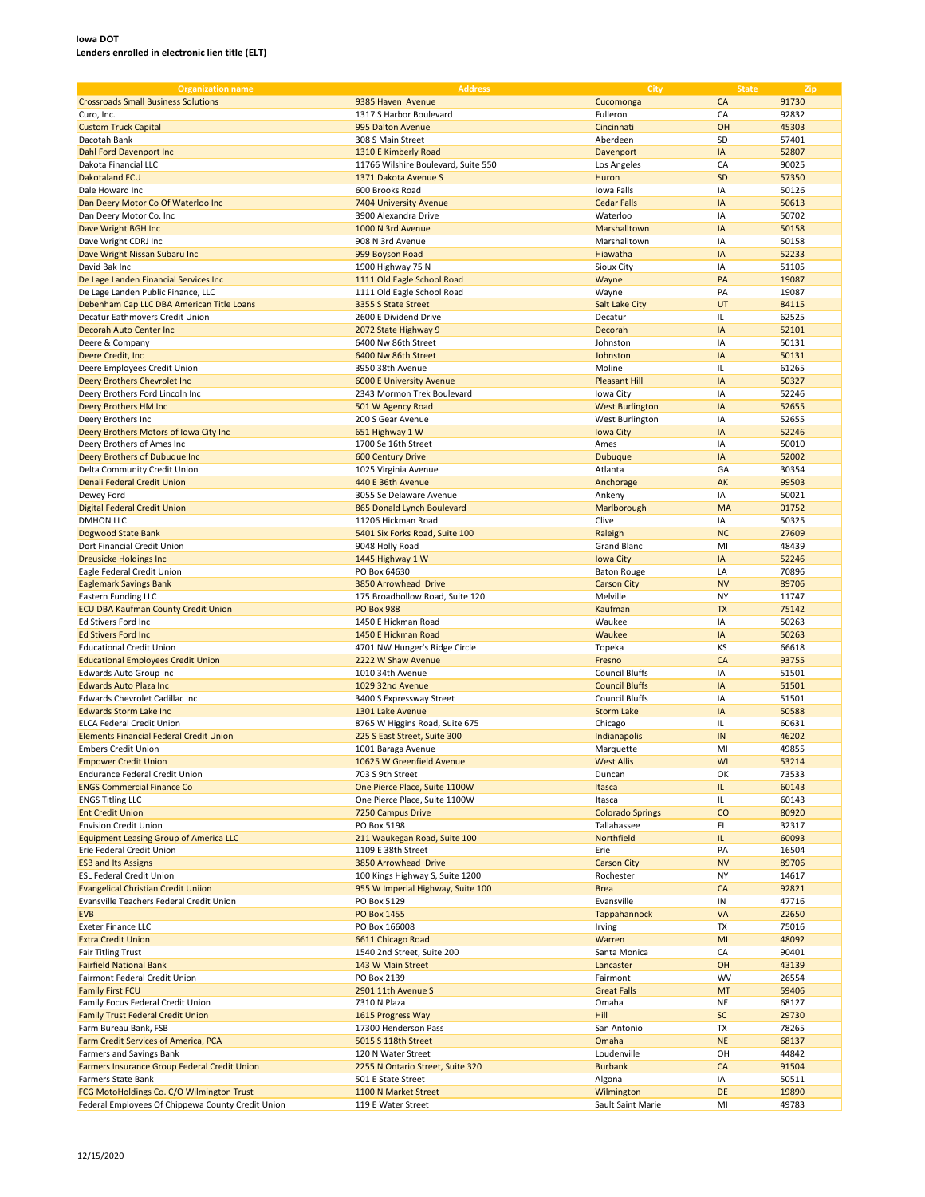| <b>Organization name</b>                          | <b>Address</b>                      | City                    | <b>State</b> | Zip   |
|---------------------------------------------------|-------------------------------------|-------------------------|--------------|-------|
| <b>Crossroads Small Business Solutions</b>        | 9385 Haven Avenue                   | Cucomonga               | CA           | 91730 |
|                                                   |                                     |                         |              |       |
| Curo, Inc.                                        | 1317 S Harbor Boulevard             | Fulleron                | CA           | 92832 |
| <b>Custom Truck Capital</b>                       | 995 Dalton Avenue                   | Cincinnati              | OH           | 45303 |
| Dacotah Bank                                      | 308 S Main Street                   | Aberdeen                | SD           | 57401 |
| Dahl Ford Davenport Inc                           | 1310 E Kimberly Road                | Davenport               | IA           | 52807 |
| Dakota Financial LLC                              | 11766 Wilshire Boulevard, Suite 550 | Los Angeles             | CA           | 90025 |
|                                                   |                                     |                         |              |       |
| <b>Dakotaland FCU</b>                             | 1371 Dakota Avenue S                | Huron                   | SD           | 57350 |
| Dale Howard Inc                                   | 600 Brooks Road                     | Iowa Falls              | IA           | 50126 |
| Dan Deery Motor Co Of Waterloo Inc                | 7404 University Avenue              | <b>Cedar Falls</b>      | IA           | 50613 |
| Dan Deery Motor Co. Inc                           | 3900 Alexandra Drive                | Waterloo                | IA           | 50702 |
| Dave Wright BGH Inc                               | 1000 N 3rd Avenue                   | Marshalltown            | IA           | 50158 |
|                                                   |                                     |                         |              |       |
| Dave Wright CDRJ Inc                              | 908 N 3rd Avenue                    | Marshalltown            | IA           | 50158 |
| Dave Wright Nissan Subaru Inc                     | 999 Boyson Road                     | Hiawatha                | IA           | 52233 |
| David Bak Inc                                     | 1900 Highway 75 N                   | Sioux City              | IA           | 51105 |
| De Lage Landen Financial Services Inc             | 1111 Old Eagle School Road          | Wayne                   | PA           | 19087 |
| De Lage Landen Public Finance, LLC                | 1111 Old Eagle School Road          | Wayne                   | PA           | 19087 |
|                                                   |                                     |                         |              |       |
| Debenham Cap LLC DBA American Title Loans         | 3355 S State Street                 | Salt Lake City          | UT           | 84115 |
| Decatur Eathmovers Credit Union                   | 2600 E Dividend Drive               | Decatur                 | IL           | 62525 |
| Decorah Auto Center Inc                           | 2072 State Highway 9                | Decorah                 | IA           | 52101 |
| Deere & Company                                   | 6400 Nw 86th Street                 | Johnston                | IA           | 50131 |
| Deere Credit, Inc.                                | 6400 Nw 86th Street                 | Johnston                | IA           | 50131 |
|                                                   |                                     |                         |              |       |
| Deere Employees Credit Union                      | 3950 38th Avenue                    | Moline                  | IL           | 61265 |
| Deery Brothers Chevrolet Inc                      | <b>6000 E University Avenue</b>     | <b>Pleasant Hill</b>    | IA           | 50327 |
| Deery Brothers Ford Lincoln Inc                   | 2343 Mormon Trek Boulevard          | Iowa City               | IA           | 52246 |
| Deery Brothers HM Inc                             | 501 W Agency Road                   | <b>West Burlington</b>  | IA           | 52655 |
| Deery Brothers Inc                                | 200 S Gear Avenue                   | West Burlington         | IA           | 52655 |
|                                                   |                                     |                         |              |       |
| Deery Brothers Motors of Iowa City Inc            | 651 Highway 1 W                     | <b>Iowa City</b>        | IA           | 52246 |
| Deery Brothers of Ames Inc                        | 1700 Se 16th Street                 | Ames                    | IA           | 50010 |
| Deery Brothers of Dubuque Inc                     | 600 Century Drive                   | <b>Dubuque</b>          | IA           | 52002 |
| Delta Community Credit Union                      | 1025 Virginia Avenue                | Atlanta                 | GA           | 30354 |
| Denali Federal Credit Union                       | 440 E 36th Avenue                   | Anchorage               | AK           | 99503 |
|                                                   |                                     |                         |              |       |
| Dewey Ford                                        | 3055 Se Delaware Avenue             | Ankeny                  | IA           | 50021 |
| <b>Digital Federal Credit Union</b>               | 865 Donald Lynch Boulevard          | Marlborough             | MA           | 01752 |
| <b>DMHON LLC</b>                                  | 11206 Hickman Road                  | Clive                   | IA           | 50325 |
| Dogwood State Bank                                | 5401 Six Forks Road, Suite 100      | Raleigh                 | <b>NC</b>    | 27609 |
| Dort Financial Credit Union                       | 9048 Holly Road                     | <b>Grand Blanc</b>      | MI           | 48439 |
|                                                   |                                     |                         |              |       |
| <b>Dreusicke Holdings Inc</b>                     | 1445 Highway 1 W                    | <b>Iowa City</b>        | IA           | 52246 |
| Eagle Federal Credit Union                        | PO Box 64630                        | <b>Baton Rouge</b>      | LA           | 70896 |
| <b>Eaglemark Savings Bank</b>                     | 3850 Arrowhead Drive                | <b>Carson City</b>      | <b>NV</b>    | 89706 |
| Eastern Funding LLC                               | 175 Broadhollow Road, Suite 120     | Melville                | NY           | 11747 |
|                                                   | <b>PO Box 988</b>                   | Kaufman                 | <b>TX</b>    | 75142 |
| <b>ECU DBA Kaufman County Credit Union</b>        |                                     |                         |              |       |
| Ed Stivers Ford Inc                               | 1450 E Hickman Road                 | Waukee                  | IA           | 50263 |
| <b>Ed Stivers Ford Inc.</b>                       | 1450 E Hickman Road                 | Waukee                  | IA           | 50263 |
| <b>Educational Credit Union</b>                   | 4701 NW Hunger's Ridge Circle       | Topeka                  | KS           | 66618 |
| <b>Educational Employees Credit Union</b>         | 2222 W Shaw Avenue                  | Fresno                  | CA           | 93755 |
|                                                   | 1010 34th Avenue                    |                         | IA           |       |
| Edwards Auto Group Inc                            |                                     | <b>Council Bluffs</b>   |              | 51501 |
| <b>Edwards Auto Plaza Inc</b>                     | 1029 32nd Avenue                    | <b>Council Bluffs</b>   | IA           | 51501 |
| Edwards Chevrolet Cadillac Inc                    | 3400 S Expressway Street            | <b>Council Bluffs</b>   | IA           | 51501 |
| <b>Edwards Storm Lake Inc.</b>                    | 1301 Lake Avenue                    | <b>Storm Lake</b>       | IA           | 50588 |
| <b>ELCA Federal Credit Union</b>                  | 8765 W Higgins Road, Suite 675      | Chicago                 | IL           | 60631 |
| <b>Elements Financial Federal Credit Union</b>    |                                     |                         |              |       |
|                                                   | 225 S East Street, Suite 300        | Indianapolis            | IN           | 46202 |
| <b>Embers Credit Union</b>                        | 1001 Baraga Avenue                  | Marquette               | MI           | 49855 |
| <b>Empower Credit Union</b>                       | 10625 W Greenfield Avenue           | <b>West Allis</b>       | WI           | 53214 |
| Endurance Federal Credit Union                    | 703 S 9th Street                    | Duncan                  | OK           | 73533 |
| <b>ENGS Commercial Finance Co</b>                 | One Pierce Place, Suite 1100W       | Itasca                  | Щ.           | 60143 |
| <b>ENGS Titling LLC</b>                           | One Pierce Place, Suite 1100W       | Itasca                  | IL.          | 60143 |
|                                                   |                                     |                         |              |       |
| <b>Ent Credit Union</b>                           | 7250 Campus Drive                   | <b>Colorado Springs</b> | CO           | 80920 |
| <b>Envision Credit Union</b>                      | PO Box 5198                         | Tallahassee             | FL           | 32317 |
| <b>Equipment Leasing Group of America LLC</b>     | 211 Waukegan Road, Suite 100        | Northfield              | IL.          | 60093 |
| Erie Federal Credit Union                         | 1109 E 38th Street                  | Erie                    | PA           | 16504 |
| <b>ESB and Its Assigns</b>                        | 3850 Arrowhead Drive                | <b>Carson City</b>      | <b>NV</b>    | 89706 |
|                                                   |                                     |                         |              |       |
| <b>ESL Federal Credit Union</b>                   | 100 Kings Highway S, Suite 1200     | Rochester               | NY           | 14617 |
| <b>Evangelical Christian Credit Uniion</b>        | 955 W Imperial Highway, Suite 100   | <b>Brea</b>             | CA           | 92821 |
| Evansville Teachers Federal Credit Union          | PO Box 5129                         | Evansville              | IN           | 47716 |
| <b>EVB</b>                                        | PO Box 1455                         | Tappahannock            | VA           | 22650 |
| <b>Exeter Finance LLC</b>                         | PO Box 166008                       | Irving                  | TX           | 75016 |
|                                                   |                                     |                         |              |       |
| <b>Extra Credit Union</b>                         | 6611 Chicago Road                   | Warren                  | MI           | 48092 |
| <b>Fair Titling Trust</b>                         | 1540 2nd Street, Suite 200          | Santa Monica            | CA           | 90401 |
| <b>Fairfield National Bank</b>                    | 143 W Main Street                   | Lancaster               | OH           | 43139 |
| Fairmont Federal Credit Union                     | PO Box 2139                         | Fairmont                | <b>WV</b>    | 26554 |
| <b>Family First FCU</b>                           | 2901 11th Avenue S                  | <b>Great Falls</b>      | MT           | 59406 |
|                                                   |                                     |                         |              |       |
| Family Focus Federal Credit Union                 | 7310 N Plaza                        | Omaha                   | NE           | 68127 |
| <b>Family Trust Federal Credit Union</b>          | 1615 Progress Way                   | Hill                    | <b>SC</b>    | 29730 |
| Farm Bureau Bank, FSB                             | 17300 Henderson Pass                | San Antonio             | TX           | 78265 |
| Farm Credit Services of America, PCA              | 5015 S 118th Street                 | Omaha                   | <b>NE</b>    | 68137 |
|                                                   |                                     |                         | OH           |       |
| Farmers and Savings Bank                          | 120 N Water Street                  | Loudenville             |              | 44842 |
| Farmers Insurance Group Federal Credit Union      | 2255 N Ontario Street, Suite 320    | <b>Burbank</b>          | CA           | 91504 |
| Farmers State Bank                                | 501 E State Street                  | Algona                  | IA           | 50511 |
| FCG MotoHoldings Co. C/O Wilmington Trust         | 1100 N Market Street                | Wilmington              | DE           | 19890 |
| Federal Employees Of Chippewa County Credit Union | 119 E Water Street                  | Sault Saint Marie       | MI           | 49783 |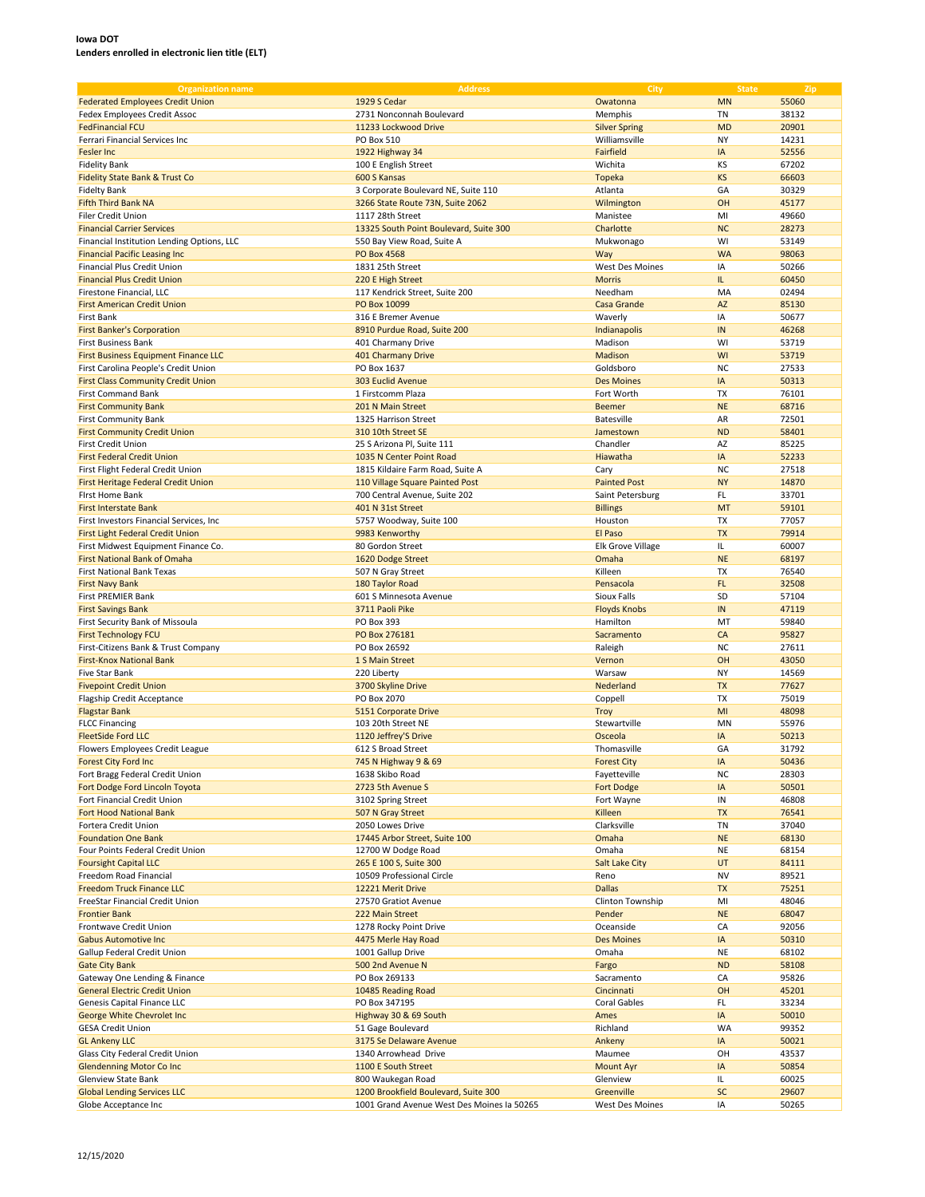| <b>Organization name</b>                   | <b>Address</b>                             | City                     | <b>State</b> | Zip   |
|--------------------------------------------|--------------------------------------------|--------------------------|--------------|-------|
| <b>Federated Employees Credit Union</b>    | 1929 S Cedar                               | Owatonna                 | <b>MN</b>    | 55060 |
| Fedex Employees Credit Assoc               | 2731 Nonconnah Boulevard                   | Memphis                  | <b>TN</b>    | 38132 |
| <b>FedFinancial FCU</b>                    |                                            |                          |              |       |
|                                            | 11233 Lockwood Drive                       | <b>Silver Spring</b>     | <b>MD</b>    | 20901 |
| Ferrari Financial Services Inc             | PO Box 510                                 | Williamsville            | NY           | 14231 |
| Fesler Inc                                 | 1922 Highway 34                            | Fairfield                | IA           | 52556 |
| <b>Fidelity Bank</b>                       | 100 E English Street                       | Wichita                  | KS           | 67202 |
| <b>Fidelity State Bank &amp; Trust Co</b>  | 600 S Kansas                               | <b>Topeka</b>            | <b>KS</b>    | 66603 |
| <b>Fidelty Bank</b>                        | 3 Corporate Boulevard NE, Suite 110        | Atlanta                  | GA           | 30329 |
| <b>Fifth Third Bank NA</b>                 | 3266 State Route 73N, Suite 2062           | Wilmington               | OH           | 45177 |
| <b>Filer Credit Union</b>                  | 1117 28th Street                           | Manistee                 | MI           | 49660 |
| <b>Financial Carrier Services</b>          | 13325 South Point Boulevard, Suite 300     | Charlotte                | <b>NC</b>    | 28273 |
| Financial Institution Lending Options, LLC | 550 Bay View Road, Suite A                 | Mukwonago                | WI           | 53149 |
| <b>Financial Pacific Leasing Inc</b>       | <b>PO Box 4568</b>                         | Way                      | <b>WA</b>    | 98063 |
| Financial Plus Credit Union                | 1831 25th Street                           | West Des Moines          | IA           | 50266 |
| <b>Financial Plus Credit Union</b>         | 220 E High Street                          | <b>Morris</b>            | IL.          | 60450 |
| Firestone Financial, LLC                   | 117 Kendrick Street, Suite 200             | Needham                  | MA           | 02494 |
| <b>First American Credit Union</b>         | PO Box 10099                               | <b>Casa Grande</b>       | <b>AZ</b>    | 85130 |
| First Bank                                 | 316 E Bremer Avenue                        | Waverly                  | IA           | 50677 |
| <b>First Banker's Corporation</b>          | 8910 Purdue Road, Suite 200                | Indianapolis             | IN           | 46268 |
| First Business Bank                        | 401 Charmany Drive                         | Madison                  | WI           | 53719 |
| First Business Equipment Finance LLC       | 401 Charmany Drive                         | Madison                  | WI           | 53719 |
|                                            |                                            |                          |              |       |
| First Carolina People's Credit Union       | PO Box 1637                                | Goldsboro                | <b>NC</b>    | 27533 |
| <b>First Class Community Credit Union</b>  | 303 Euclid Avenue                          | <b>Des Moines</b>        | IA           | 50313 |
| <b>First Command Bank</b>                  | 1 Firstcomm Plaza                          | Fort Worth               | <b>TX</b>    | 76101 |
| <b>First Community Bank</b>                | 201 N Main Street                          | <b>Beemer</b>            | <b>NE</b>    | 68716 |
| <b>First Community Bank</b>                | 1325 Harrison Street                       | <b>Batesville</b>        | AR           | 72501 |
| <b>First Community Credit Union</b>        | 310 10th Street SE                         | Jamestown                | <b>ND</b>    | 58401 |
| First Credit Union                         | 25 S Arizona Pl, Suite 111                 | Chandler                 | AZ           | 85225 |
| <b>First Federal Credit Union</b>          | 1035 N Center Point Road                   | Hiawatha                 | IA           | 52233 |
| First Flight Federal Credit Union          | 1815 Kildaire Farm Road, Suite A           | Cary                     | <b>NC</b>    | 27518 |
| First Heritage Federal Credit Union        | 110 Village Square Painted Post            | <b>Painted Post</b>      | <b>NY</b>    | 14870 |
| <b>First Home Bank</b>                     | 700 Central Avenue, Suite 202              | Saint Petersburg         | FL.          | 33701 |
| <b>First Interstate Bank</b>               | 401 N 31st Street                          | <b>Billings</b>          | MT           | 59101 |
| First Investors Financial Services, Inc.   | 5757 Woodway, Suite 100                    | Houston                  | <b>TX</b>    | 77057 |
| First Light Federal Credit Union           | 9983 Kenworthy                             | El Paso                  | <b>TX</b>    | 79914 |
| First Midwest Equipment Finance Co.        | 80 Gordon Street                           | <b>Elk Grove Village</b> | IL.          | 60007 |
| <b>First National Bank of Omaha</b>        | 1620 Dodge Street                          | Omaha                    | <b>NE</b>    | 68197 |
| <b>First National Bank Texas</b>           | 507 N Gray Street                          | Killeen                  | <b>TX</b>    | 76540 |
| <b>First Navy Bank</b>                     | 180 Taylor Road                            | Pensacola                | FL.          | 32508 |
| First PREMIER Bank                         | 601 S Minnesota Avenue                     | Sioux Falls              | SD           | 57104 |
| <b>First Savings Bank</b>                  | 3711 Paoli Pike                            | <b>Floyds Knobs</b>      | IN           | 47119 |
| First Security Bank of Missoula            | PO Box 393                                 | Hamilton                 | MT           | 59840 |
| <b>First Technology FCU</b>                | PO Box 276181                              | Sacramento               | CA           | 95827 |
| First-Citizens Bank & Trust Company        | PO Box 26592                               | Raleigh                  | <b>NC</b>    | 27611 |
| <b>First-Knox National Bank</b>            | 1 S Main Street                            | Vernon                   | OH           | 43050 |
| Five Star Bank                             |                                            | Warsaw                   | <b>NY</b>    | 14569 |
|                                            | 220 Liberty                                | Nederland                | <b>TX</b>    | 77627 |
| <b>Fivepoint Credit Union</b>              | 3700 Skyline Drive                         |                          |              |       |
| Flagship Credit Acceptance                 | PO Box 2070                                | Coppell                  | TX           | 75019 |
| <b>Flagstar Bank</b>                       | 5151 Corporate Drive                       | Troy                     | MI           | 48098 |
| <b>FLCC Financing</b>                      | 103 20th Street NE                         | Stewartville             | MN           | 55976 |
| <b>FleetSide Ford LLC</b>                  | 1120 Jeffrey'S Drive                       | Osceola                  | IA           | 50213 |
| Flowers Employees Credit League            | 612 S Broad Street                         | Thomasville              | GA           | 31792 |
| <b>Forest City Ford Inc</b>                | 745 N Highway 9 & 69                       | <b>Forest City</b>       | IA           | 50436 |
| Fort Bragg Federal Credit Union            | 1638 Skibo Road                            | Fayetteville             | NC           | 28303 |
| Fort Dodge Ford Lincoln Toyota             | 2723 5th Avenue S                          | <b>Fort Dodge</b>        | IA           | 50501 |
| Fort Financial Credit Union                | 3102 Spring Street                         | Fort Wayne               | ${\sf IN}$   | 46808 |
| <b>Fort Hood National Bank</b>             | 507 N Gray Street                          | Killeen                  | TX           | 76541 |
| Fortera Credit Union                       | 2050 Lowes Drive                           | Clarksville              | TN           | 37040 |
| <b>Foundation One Bank</b>                 | 17445 Arbor Street, Suite 100              | Omaha                    | <b>NE</b>    | 68130 |
| Four Points Federal Credit Union           | 12700 W Dodge Road                         | Omaha                    | NE           | 68154 |
| <b>Foursight Capital LLC</b>               | 265 E 100 S, Suite 300                     | <b>Salt Lake City</b>    | UT           | 84111 |
| Freedom Road Financial                     | 10509 Professional Circle                  | Reno                     | NV           | 89521 |
| <b>Freedom Truck Finance LLC</b>           | 12221 Merit Drive                          | <b>Dallas</b>            | TX           | 75251 |
| FreeStar Financial Credit Union            | 27570 Gratiot Avenue                       | Clinton Township         | MI           | 48046 |
| <b>Frontier Bank</b>                       | 222 Main Street                            | Pender                   | <b>NE</b>    | 68047 |
| Frontwave Credit Union                     | 1278 Rocky Point Drive                     | Oceanside                | CA           | 92056 |
| <b>Gabus Automotive Inc.</b>               | 4475 Merle Hay Road                        | <b>Des Moines</b>        | IA           | 50310 |
| Gallup Federal Credit Union                | 1001 Gallup Drive                          | Omaha                    | NE           | 68102 |
| <b>Gate City Bank</b>                      | 500 2nd Avenue N                           | Fargo                    | <b>ND</b>    | 58108 |
| Gateway One Lending & Finance              | PO Box 269133                              | Sacramento               | CA           | 95826 |
| <b>General Electric Credit Union</b>       | 10485 Reading Road                         | Cincinnati               | OH           | 45201 |
| Genesis Capital Finance LLC                | PO Box 347195                              | Coral Gables             | FL           | 33234 |
| George White Chevrolet Inc                 | Highway 30 & 69 South                      | Ames                     | IA           | 50010 |
| <b>GESA Credit Union</b>                   | 51 Gage Boulevard                          | Richland                 | WA           | 99352 |
| <b>GL Ankeny LLC</b>                       | 3175 Se Delaware Avenue                    | Ankeny                   | IA           | 50021 |
|                                            |                                            |                          |              |       |
| Glass City Federal Credit Union            | 1340 Arrowhead Drive                       | Maumee                   | OH           | 43537 |
| <b>Glendenning Motor Co Inc</b>            | 1100 E South Street                        | <b>Mount Ayr</b>         | IA           | 50854 |
| Glenview State Bank                        | 800 Waukegan Road                          | Glenview                 | IL.          | 60025 |
| <b>Global Lending Services LLC</b>         | 1200 Brookfield Boulevard, Suite 300       | Greenville               | SC           | 29607 |
| Globe Acceptance Inc                       | 1001 Grand Avenue West Des Moines la 50265 | West Des Moines          | IA           | 50265 |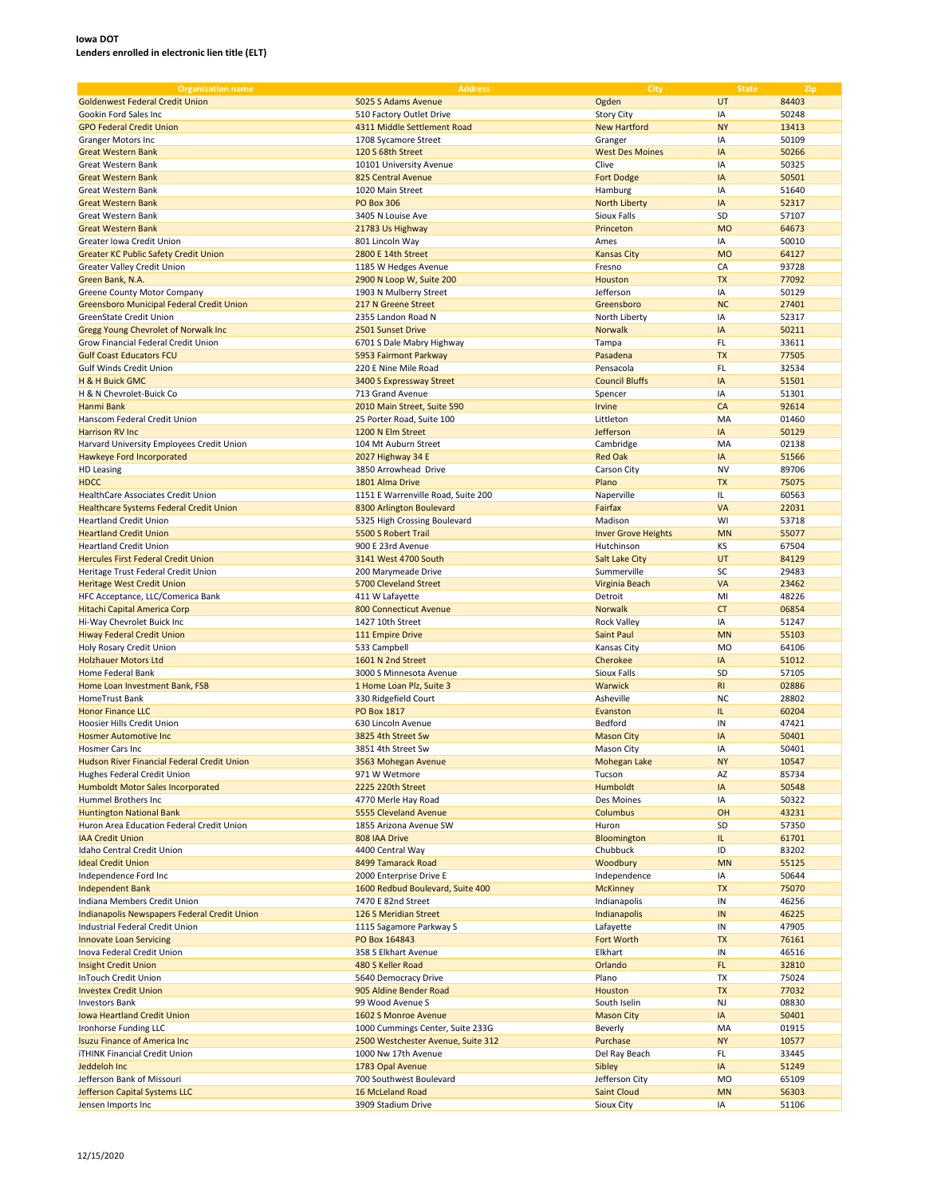| <b>Organization name</b>                     | <b>Address</b>                     | City                       | <b>State</b> | Zip   |
|----------------------------------------------|------------------------------------|----------------------------|--------------|-------|
| <b>Goldenwest Federal Credit Union</b>       | 5025 S Adams Avenue                | Ogden                      | UT           | 84403 |
| Gookin Ford Sales Inc                        | 510 Factory Outlet Drive           | <b>Story City</b>          | IA           | 50248 |
| <b>GPO Federal Credit Union</b>              | 4311 Middle Settlement Road        | <b>New Hartford</b>        | <b>NY</b>    | 13413 |
|                                              |                                    |                            |              |       |
| Granger Motors Inc                           | 1708 Sycamore Street               | Granger                    | IA           | 50109 |
| <b>Great Western Bank</b>                    | 120 S 68th Street                  | <b>West Des Moines</b>     | IA           | 50266 |
| Great Western Bank                           | 10101 University Avenue            | Clive                      | IA           | 50325 |
| <b>Great Western Bank</b>                    | 825 Central Avenue                 | <b>Fort Dodge</b>          | IA           | 50501 |
| <b>Great Western Bank</b>                    | 1020 Main Street                   | Hamburg                    | IA           | 51640 |
| <b>Great Western Bank</b>                    | <b>PO Box 306</b>                  | North Liberty              | IA           | 52317 |
| Great Western Bank                           | 3405 N Louise Ave                  | Sioux Falls                | SD           | 57107 |
| <b>Great Western Bank</b>                    | 21783 Us Highway                   | Princeton                  | <b>MO</b>    | 64673 |
| Greater Iowa Credit Union                    | 801 Lincoln Way                    | Ames                       | IA           | 50010 |
| <b>Greater KC Public Safety Credit Union</b> | 2800 E 14th Street                 | <b>Kansas City</b>         | <b>MO</b>    | 64127 |
| <b>Greater Valley Credit Union</b>           | 1185 W Hedges Avenue               | Fresno                     | CA           | 93728 |
| Green Bank, N.A.                             | 2900 N Loop W, Suite 200           | Houston                    | <b>TX</b>    | 77092 |
| Greene County Motor Company                  | 1903 N Mulberry Street             | Jefferson                  | IA           | 50129 |
| Greensboro Municipal Federal Credit Union    | 217 N Greene Street                | Greensboro                 | <b>NC</b>    | 27401 |
| GreenState Credit Union                      | 2355 Landon Road N                 | North Liberty              | IA           | 52317 |
| Gregg Young Chevrolet of Norwalk Inc         | 2501 Sunset Drive                  | Norwalk                    | IA           | 50211 |
| Grow Financial Federal Credit Union          | 6701 S Dale Mabry Highway          | Tampa                      | <b>FL</b>    | 33611 |
| <b>Gulf Coast Educators FCU</b>              | 5953 Fairmont Parkway              | Pasadena                   | <b>TX</b>    | 77505 |
| <b>Gulf Winds Credit Union</b>               | 220 E Nine Mile Road               | Pensacola                  | <b>FL</b>    | 32534 |
|                                              |                                    |                            | IA           |       |
| H & H Buick GMC                              | 3400 S Expressway Street           | <b>Council Bluffs</b>      |              | 51501 |
| H & N Chevrolet-Buick Co                     | 713 Grand Avenue                   | Spencer                    | IA           | 51301 |
| Hanmi Bank                                   | 2010 Main Street, Suite 590        | Irvine                     | CA           | 92614 |
| Hanscom Federal Credit Union                 | 25 Porter Road, Suite 100          | Littleton                  | MA           | 01460 |
| <b>Harrison RV Inc.</b>                      | 1200 N Elm Street                  | Jefferson                  | IA           | 50129 |
| Harvard University Employees Credit Union    | 104 Mt Auburn Street               | Cambridge                  | MA           | 02138 |
| Hawkeye Ford Incorporated                    | 2027 Highway 34 E                  | <b>Red Oak</b>             | IA           | 51566 |
| HD Leasing                                   | 3850 Arrowhead Drive               | Carson City                | <b>NV</b>    | 89706 |
| <b>HDCC</b>                                  | 1801 Alma Drive                    | Plano                      | <b>TX</b>    | 75075 |
| HealthCare Associates Credit Union           | 1151 E Warrenville Road, Suite 200 | Naperville                 | IL.          | 60563 |
| Healthcare Systems Federal Credit Union      | 8300 Arlington Boulevard           | Fairfax                    | VA           | 22031 |
| <b>Heartland Credit Union</b>                | 5325 High Crossing Boulevard       | Madison                    | WI           | 53718 |
| <b>Heartland Credit Union</b>                | 5500 S Robert Trail                | <b>Inver Grove Heights</b> | <b>MN</b>    | 55077 |
| <b>Heartland Credit Union</b>                | 900 E 23rd Avenue                  | Hutchinson                 | KS           | 67504 |
| <b>Hercules First Federal Credit Union</b>   | 3141 West 4700 South               | <b>Salt Lake City</b>      | UT           | 84129 |
| Heritage Trust Federal Credit Union          | 200 Marymeade Drive                | Summerville                | SC           | 29483 |
| Heritage West Credit Union                   | 5700 Cleveland Street              | Virginia Beach             | VA           | 23462 |
| HFC Acceptance, LLC/Comerica Bank            | 411 W Lafayette                    | Detroit                    | MI           | 48226 |
| Hitachi Capital America Corp                 | 800 Connecticut Avenue             | <b>Norwalk</b>             | <b>CT</b>    | 06854 |
| Hi-Way Chevrolet Buick Inc                   | 1427 10th Street                   | <b>Rock Valley</b>         | IA           | 51247 |
| Hiway Federal Credit Union                   | 111 Empire Drive                   | <b>Saint Paul</b>          | <b>MN</b>    | 55103 |
| Holy Rosary Credit Union                     | 533 Campbell                       | Kansas City                | <b>MO</b>    | 64106 |
| <b>Holzhauer Motors Ltd</b>                  | 1601 N 2nd Street                  | Cherokee                   | IA           | 51012 |
| Home Federal Bank                            | 3000 S Minnesota Avenue            | Sioux Falls                | SD           | 57105 |
| Home Loan Investment Bank, FSB               |                                    | Warwick                    | R1           | 02886 |
|                                              | 1 Home Loan Plz, Suite 3           | Asheville                  | <b>NC</b>    |       |
| HomeTrust Bank                               | 330 Ridgefield Court               |                            |              | 28802 |
| <b>Honor Finance LLC</b>                     | <b>PO Box 1817</b>                 | Evanston                   | IL.          | 60204 |
| Hoosier Hills Credit Union                   | 630 Lincoln Avenue                 | Bedford                    | IN           | 47421 |
| <b>Hosmer Automotive Inc.</b>                | 3825 4th Street Sw                 | <b>Mason City</b>          | IA           | 50401 |
| Hosmer Cars Inc                              | 3851 4th Street Sw                 | <b>Mason City</b>          | IA           | 50401 |
| Hudson River Financial Federal Credit Union  | 3563 Mohegan Avenue                | Mohegan Lake               | <b>NY</b>    | 10547 |
| Hughes Federal Credit Union                  | 971 W Wetmore                      | Tucson                     | AZ           | 85734 |
| Humboldt Motor Sales Incorporated            | 2225 220th Street                  | Humboldt                   | IA           | 50548 |
| Hummel Brothers Inc                          | 4770 Merle Hay Road                | Des Moines                 | IA           | 50322 |
| <b>Huntington National Bank</b>              | 5555 Cleveland Avenue              | Columbus                   | OH           | 43231 |
| Huron Area Education Federal Credit Union    | 1855 Arizona Avenue SW             | Huron                      | SD           | 57350 |
| <b>IAA Credit Union</b>                      | 808 IAA Drive                      | Bloomington                | IL.          | 61701 |
| Idaho Central Credit Union                   | 4400 Central Way                   | Chubbuck                   | ID           | 83202 |
| <b>Ideal Credit Union</b>                    | 8499 Tamarack Road                 | Woodbury                   | <b>MN</b>    | 55125 |
| Independence Ford Inc                        | 2000 Enterprise Drive E            | Independence               | IA           | 50644 |
| <b>Independent Bank</b>                      | 1600 Redbud Boulevard, Suite 400   | <b>McKinney</b>            | <b>TX</b>    | 75070 |
| Indiana Members Credit Union                 | 7470 E 82nd Street                 | Indianapolis               | IN           | 46256 |
| Indianapolis Newspapers Federal Credit Union | 126 S Meridian Street              | Indianapolis               | IN           | 46225 |
| Industrial Federal Credit Union              | 1115 Sagamore Parkway S            | Lafayette                  | IN           | 47905 |
| <b>Innovate Loan Servicing</b>               | PO Box 164843                      | Fort Worth                 | <b>TX</b>    | 76161 |
| Inova Federal Credit Union                   | 358 S Elkhart Avenue               | Elkhart                    | IN           | 46516 |
| <b>Insight Credit Union</b>                  | 480 S Keller Road                  | Orlando                    | FL.          | 32810 |
| InTouch Credit Union                         | 5640 Democracy Drive               | Plano                      | TX           | 75024 |
| <b>Investex Credit Union</b>                 | 905 Aldine Bender Road             | Houston                    | <b>TX</b>    | 77032 |
| <b>Investors Bank</b>                        | 99 Wood Avenue S                   | South Iselin               | NJ           | 08830 |
|                                              |                                    |                            | $\sf IA$     |       |
| Iowa Heartland Credit Union                  | 1602 S Monroe Avenue               | <b>Mason City</b>          |              | 50401 |
| Ironhorse Funding LLC                        | 1000 Cummings Center, Suite 233G   | Beverly                    | MA           | 01915 |
| <b>Isuzu Finance of America Inc.</b>         | 2500 Westchester Avenue, Suite 312 | Purchase                   | <b>NY</b>    | 10577 |
| <b>iTHINK Financial Credit Union</b>         | 1000 Nw 17th Avenue                | Del Ray Beach              | FL.          | 33445 |
| Jeddeloh Inc                                 | 1783 Opal Avenue                   | Sibley                     | IA           | 51249 |
| Jefferson Bank of Missouri                   | 700 Southwest Boulevard            | Jefferson City             | MO           | 65109 |
| <b>Jefferson Capital Systems LLC</b>         | 16 McLeland Road                   | <b>Saint Cloud</b>         | <b>MN</b>    | 56303 |
| Jensen Imports Inc                           | 3909 Stadium Drive                 | Sioux City                 | IA           | 51106 |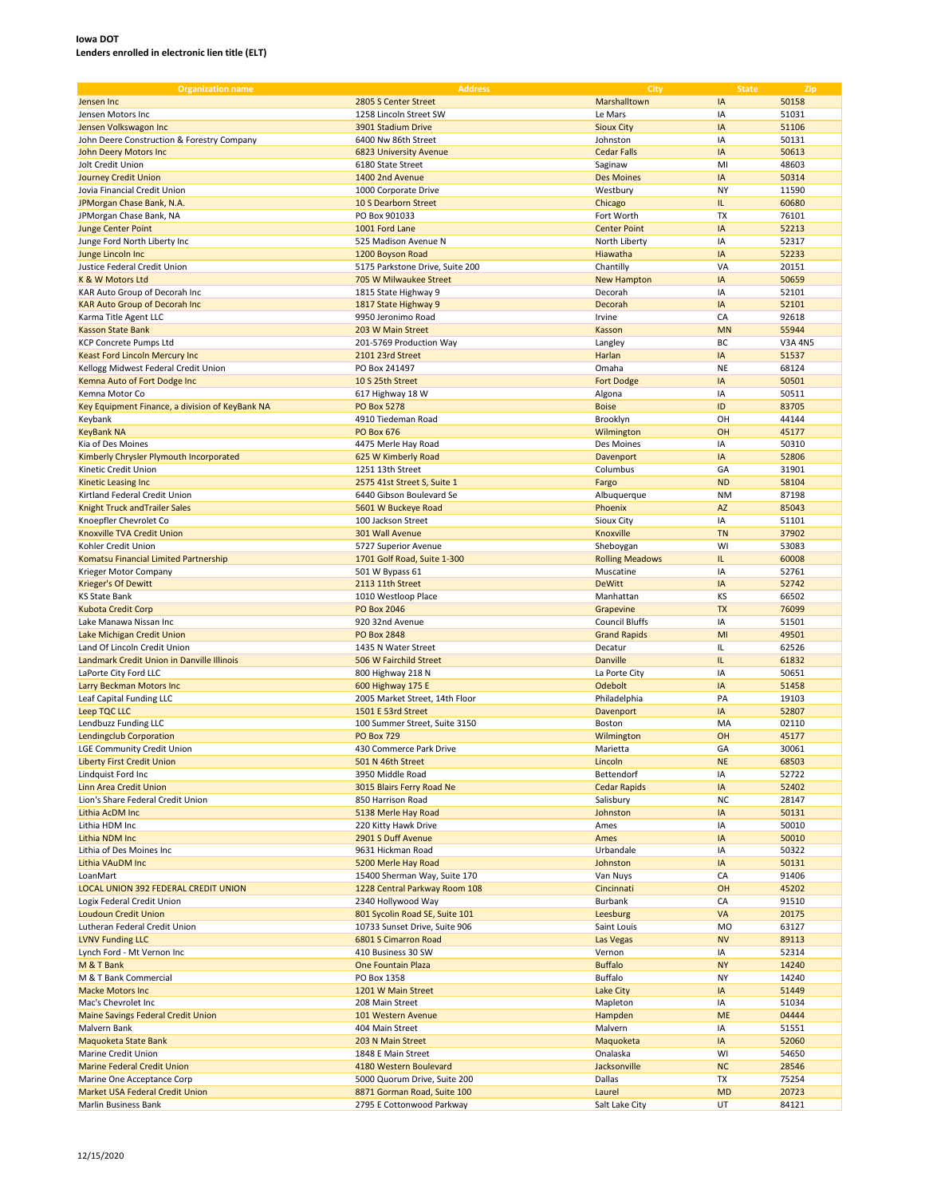| <b>Organization name</b>                        | <b>Address</b>                  | City                   | <b>State</b> | Zip            |
|-------------------------------------------------|---------------------------------|------------------------|--------------|----------------|
| Jensen Inc                                      | 2805 S Center Street            | Marshalltown           | IA           | 50158          |
|                                                 |                                 |                        |              |                |
| Jensen Motors Inc                               | 1258 Lincoln Street SW          | Le Mars                | IA           | 51031          |
| Jensen Volkswagon Inc                           | 3901 Stadium Drive              | <b>Sioux City</b>      | IA           | 51106          |
| John Deere Construction & Forestry Company      | 6400 Nw 86th Street             | Johnston               | IA           | 50131          |
| John Deery Motors Inc                           | 6823 University Avenue          | <b>Cedar Falls</b>     | IA           | 50613          |
| Jolt Credit Union                               | 6180 State Street               | Saginaw                | MI           | 48603          |
|                                                 | 1400 2nd Avenue                 |                        | IA           | 50314          |
| <b>Journey Credit Union</b>                     |                                 | <b>Des Moines</b>      |              |                |
| Jovia Financial Credit Union                    | 1000 Corporate Drive            | Westbury               | <b>NY</b>    | 11590          |
| JPMorgan Chase Bank, N.A.                       | 10 S Dearborn Street            | Chicago                | IL.          | 60680          |
| JPMorgan Chase Bank, NA                         | PO Box 901033                   | Fort Worth             | <b>TX</b>    | 76101          |
| <b>Junge Center Point</b>                       | 1001 Ford Lane                  | <b>Center Point</b>    | IA           | 52213          |
| Junge Ford North Liberty Inc                    | 525 Madison Avenue N            | North Liberty          | IA           | 52317          |
|                                                 |                                 |                        |              |                |
| Junge Lincoln Inc                               | 1200 Boyson Road                | Hiawatha               | IA           | 52233          |
| Justice Federal Credit Union                    | 5175 Parkstone Drive, Suite 200 | Chantilly              | VA           | 20151          |
| K & W Motors Ltd                                | 705 W Milwaukee Street          | <b>New Hampton</b>     | IA           | 50659          |
| KAR Auto Group of Decorah Inc                   | 1815 State Highway 9            | Decorah                | IA           | 52101          |
| <b>KAR Auto Group of Decorah Inc</b>            | 1817 State Highway 9            | Decorah                | IA           | 52101          |
| Karma Title Agent LLC                           | 9950 Jeronimo Road              | Irvine                 | CA           | 92618          |
|                                                 | 203 W Main Street               |                        | <b>MN</b>    | 55944          |
| <b>Kasson State Bank</b>                        |                                 | Kasson                 |              |                |
| <b>KCP Concrete Pumps Ltd</b>                   | 201-5769 Production Way         | Langley                | BC           | <b>V3A 4N5</b> |
| Keast Ford Lincoln Mercury Inc                  | 2101 23rd Street                | Harlan                 | IA           | 51537          |
| Kellogg Midwest Federal Credit Union            | PO Box 241497                   | Omaha                  | <b>NE</b>    | 68124          |
| Kemna Auto of Fort Dodge Inc                    | 10 S 25th Street                | <b>Fort Dodge</b>      | IA           | 50501          |
| Kemna Motor Co                                  | 617 Highway 18 W                | Algona                 | IA           | 50511          |
|                                                 |                                 |                        |              |                |
| Key Equipment Finance, a division of KeyBank NA | <b>PO Box 5278</b>              | <b>Boise</b>           | ID           | 83705          |
| Keybank                                         | 4910 Tiedeman Road              | Brooklyn               | OH           | 44144          |
| <b>KeyBank NA</b>                               | <b>PO Box 676</b>               | Wilmington             | OH           | 45177          |
| Kia of Des Moines                               | 4475 Merle Hay Road             | Des Moines             | IA           | 50310          |
| Kimberly Chrysler Plymouth Incorporated         | 625 W Kimberly Road             | Davenport              | IA           | 52806          |
| Kinetic Credit Union                            | 1251 13th Street                | Columbus               | GA           | 31901          |
|                                                 |                                 |                        |              |                |
| Kinetic Leasing Inc                             | 2575 41st Street S, Suite 1     | Fargo                  | <b>ND</b>    | 58104          |
| Kirtland Federal Credit Union                   | 6440 Gibson Boulevard Se        | Albuquerque            | <b>NM</b>    | 87198          |
| <b>Knight Truck and Trailer Sales</b>           | 5601 W Buckeye Road             | Phoenix                | AZ           | 85043          |
| Knoepfler Chevrolet Co                          | 100 Jackson Street              | Sioux City             | IA           | 51101          |
| <b>Knoxville TVA Credit Union</b>               | 301 Wall Avenue                 | Knoxville              | <b>TN</b>    | 37902          |
| Kohler Credit Union                             |                                 |                        | WI           |                |
|                                                 | 5727 Superior Avenue            | Sheboygan              |              | 53083          |
| Komatsu Financial Limited Partnership           | 1701 Golf Road, Suite 1-300     | <b>Rolling Meadows</b> | IL.          | 60008          |
| Krieger Motor Company                           | 501 W Bypass 61                 | Muscatine              | IA           | 52761          |
| <b>Krieger's Of Dewitt</b>                      | 2113 11th Street                | <b>DeWitt</b>          | IA           | 52742          |
| <b>KS State Bank</b>                            | 1010 Westloop Place             | Manhattan              | KS           | 66502          |
| <b>Kubota Credit Corp</b>                       | <b>PO Box 2046</b>              | Grapevine              | <b>TX</b>    | 76099          |
|                                                 |                                 |                        | IA           |                |
| Lake Manawa Nissan Inc                          | 920 32nd Avenue                 | <b>Council Bluffs</b>  |              | 51501          |
| Lake Michigan Credit Union                      | <b>PO Box 2848</b>              | <b>Grand Rapids</b>    | MI           | 49501          |
| Land Of Lincoln Credit Union                    | 1435 N Water Street             | Decatur                | IL.          | 62526          |
| Landmark Credit Union in Danville Illinois      | 506 W Fairchild Street          | <b>Danville</b>        | IL.          | 61832          |
| LaPorte City Ford LLC                           | 800 Highway 218 N               | La Porte City          | IA           | 50651          |
| Larry Beckman Motors Inc                        | 600 Highway 175 E               | Odebolt                | IA           | 51458          |
| Leaf Capital Funding LLC                        |                                 | Philadelphia           | PA           | 19103          |
|                                                 | 2005 Market Street, 14th Floor  |                        |              |                |
| Leep TQC LLC                                    | 1501 E 53rd Street              | Davenport              | IA           | 52807          |
| Lendbuzz Funding LLC                            | 100 Summer Street, Suite 3150   | Boston                 | MA           | 02110          |
| <b>Lendingclub Corporation</b>                  | <b>PO Box 729</b>               | Wilmington             | OH           | 45177          |
| LGE Community Credit Union                      | 430 Commerce Park Drive         | Marietta               | GA           | 30061          |
| Liberty First Credit Union                      | 501 N 46th Street               | Lincoln                | <b>NE</b>    | 68503          |
|                                                 |                                 |                        |              |                |
| Lindquist Ford Inc                              | 3950 Middle Road                | Bettendorf             | IA           | 52722          |
| Linn Area Credit Union                          | 3015 Blairs Ferry Road Ne       | <b>Cedar Rapids</b>    | IA           | 52402          |
| Lion's Share Federal Credit Union               | 850 Harrison Road               | Salisbury              | <b>NC</b>    | 28147          |
| Lithia AcDM Inc                                 | 5138 Merle Hay Road             | Johnston               | IA           | 50131          |
| Lithia HDM Inc                                  | 220 Kitty Hawk Drive            | Ames                   | IA           | 50010          |
| Lithia NDM Inc                                  | 2901 S Duff Avenue              | Ames                   | IA           | 50010          |
| Lithia of Des Moines Inc                        | 9631 Hickman Road               | Urbandale              | IA           | 50322          |
| Lithia VAuDM Inc                                | 5200 Merle Hay Road             | Johnston               | IA           | 50131          |
|                                                 |                                 |                        |              |                |
| LoanMart                                        | 15400 Sherman Way, Suite 170    | Van Nuys               | CA           | 91406          |
| LOCAL UNION 392 FEDERAL CREDIT UNION            | 1228 Central Parkway Room 108   | Cincinnati             | OH           | 45202          |
| Logix Federal Credit Union                      | 2340 Hollywood Way              | Burbank                | CA           | 91510          |
| <b>Loudoun Credit Union</b>                     | 801 Sycolin Road SE, Suite 101  | Leesburg               | VA           | 20175          |
| Lutheran Federal Credit Union                   | 10733 Sunset Drive, Suite 906   | Saint Louis            | <b>MO</b>    | 63127          |
| <b>LVNV Funding LLC</b>                         | 6801 S Cimarron Road            | Las Vegas              | <b>NV</b>    | 89113          |
|                                                 |                                 |                        |              |                |
| Lynch Ford - Mt Vernon Inc                      | 410 Business 30 SW              | Vernon                 | IA           | 52314          |
| M & T Bank                                      | One Fountain Plaza              | <b>Buffalo</b>         | <b>NY</b>    | 14240          |
| M & T Bank Commercial                           | PO Box 1358                     | Buffalo                | NY           | 14240          |
| <b>Macke Motors Inc</b>                         | 1201 W Main Street              | Lake City              | IA           | 51449          |
| Mac's Chevrolet Inc                             | 208 Main Street                 | Mapleton               | IA           | 51034          |
|                                                 |                                 |                        | <b>ME</b>    |                |
| <b>Maine Savings Federal Credit Union</b>       | 101 Western Avenue              | Hampden                |              | 04444          |
| Malvern Bank                                    | 404 Main Street                 | Malvern                | IA           | 51551          |
| Maquoketa State Bank                            | 203 N Main Street               | Maquoketa              | IA           | 52060          |
| Marine Credit Union                             | 1848 E Main Street              | Onalaska               | WI           | 54650          |
| <b>Marine Federal Credit Union</b>              | 4180 Western Boulevard          | Jacksonville           | <b>NC</b>    | 28546          |
| Marine One Acceptance Corp                      | 5000 Quorum Drive, Suite 200    | Dallas                 | TX           | 75254          |
| Market USA Federal Credit Union                 | 8871 Gorman Road, Suite 100     | Laurel                 | <b>MD</b>    | 20723          |
|                                                 |                                 |                        |              |                |
| Marlin Business Bank                            | 2795 E Cottonwood Parkway       | Salt Lake City         | UT           | 84121          |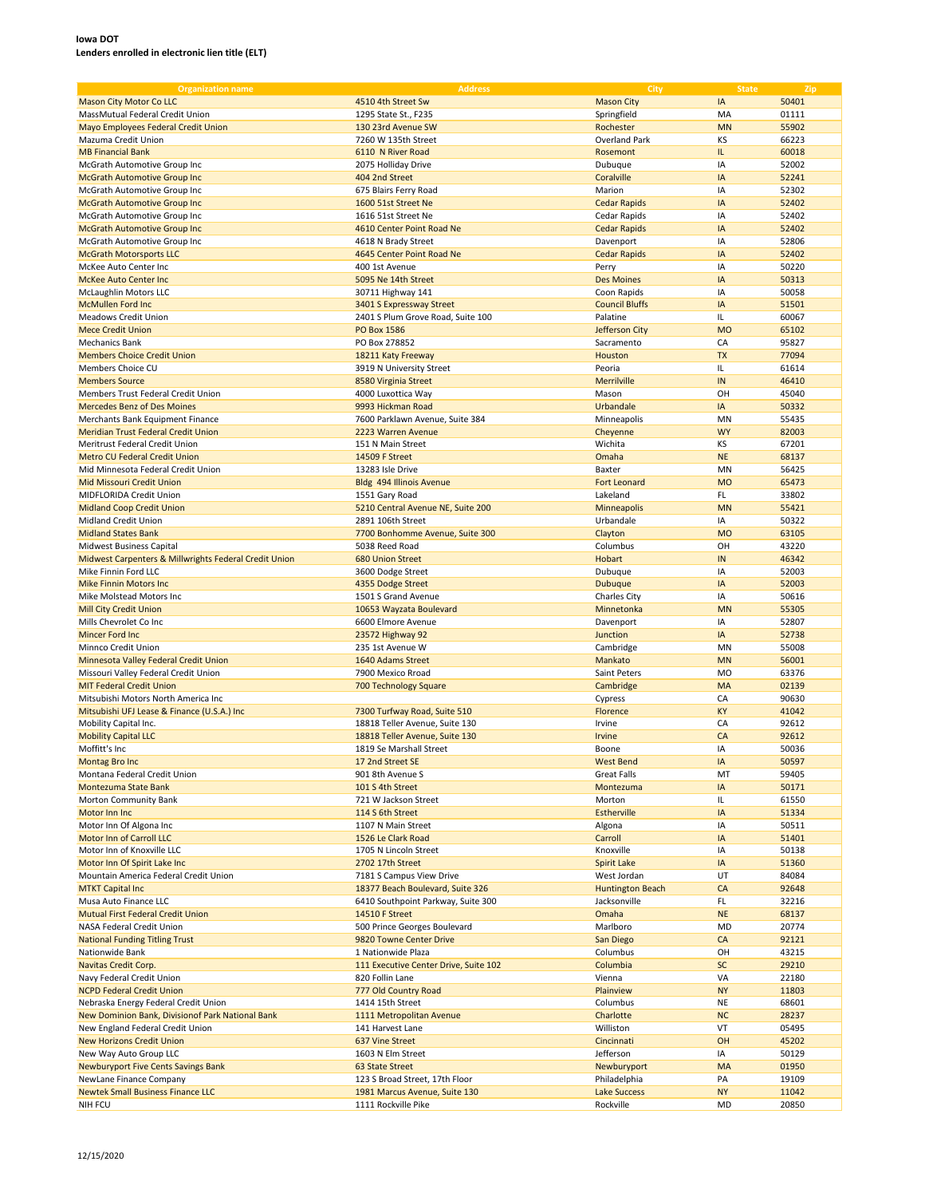| <b>Organization name</b>                              | <b>Address</b>                        | City                    | <b>State</b> | Zip   |
|-------------------------------------------------------|---------------------------------------|-------------------------|--------------|-------|
| <b>Mason City Motor Co LLC</b>                        | 4510 4th Street Sw                    | <b>Mason City</b>       | IA           | 50401 |
| MassMutual Federal Credit Union                       | 1295 State St., F235                  | Springfield             | MA           | 01111 |
|                                                       |                                       |                         |              |       |
| Mayo Employees Federal Credit Union                   | 130 23rd Avenue SW                    | Rochester               | <b>MN</b>    | 55902 |
| Mazuma Credit Union                                   | 7260 W 135th Street                   | Overland Park           | KS           | 66223 |
| <b>MB Financial Bank</b>                              | 6110 N River Road                     | Rosemont                | IL.          | 60018 |
| McGrath Automotive Group Inc                          | 2075 Holliday Drive                   | Dubuque                 | IA           | 52002 |
| <b>McGrath Automotive Group Inc.</b>                  | 404 2nd Street                        | Coralville              | IA           | 52241 |
| McGrath Automotive Group Inc                          | 675 Blairs Ferry Road                 | Marion                  | IA           | 52302 |
| <b>McGrath Automotive Group Inc</b>                   | 1600 51st Street Ne                   | <b>Cedar Rapids</b>     | IA           | 52402 |
| McGrath Automotive Group Inc                          | 1616 51st Street Ne                   | Cedar Rapids            | IA           | 52402 |
| <b>McGrath Automotive Group Inc.</b>                  | 4610 Center Point Road Ne             | <b>Cedar Rapids</b>     | IA           | 52402 |
|                                                       |                                       |                         | IA           |       |
| McGrath Automotive Group Inc                          | 4618 N Brady Street                   | Davenport               |              | 52806 |
| <b>McGrath Motorsports LLC</b>                        | 4645 Center Point Road Ne             | <b>Cedar Rapids</b>     | IA           | 52402 |
| McKee Auto Center Inc                                 | 400 1st Avenue                        | Perry                   | IA           | 50220 |
| <b>McKee Auto Center Inc.</b>                         | 5095 Ne 14th Street                   | <b>Des Moines</b>       | IA           | 50313 |
| <b>McLaughlin Motors LLC</b>                          | 30711 Highway 141                     | Coon Rapids             | IA           | 50058 |
| <b>McMullen Ford Inc</b>                              | 3401 S Expressway Street              | <b>Council Bluffs</b>   | IA           | 51501 |
| Meadows Credit Union                                  | 2401 S Plum Grove Road, Suite 100     | Palatine                | IL           | 60067 |
| <b>Mece Credit Union</b>                              | <b>PO Box 1586</b>                    | Jefferson City          | <b>MO</b>    | 65102 |
| <b>Mechanics Bank</b>                                 | PO Box 278852                         | Sacramento              | CA           | 95827 |
|                                                       |                                       |                         | <b>TX</b>    |       |
| <b>Members Choice Credit Union</b>                    | 18211 Katy Freeway                    | Houston                 |              | 77094 |
| Members Choice CU                                     | 3919 N University Street              | Peoria                  | IL.          | 61614 |
| <b>Members Source</b>                                 | 8580 Virginia Street                  | Merrilville             | IN           | 46410 |
| Members Trust Federal Credit Union                    | 4000 Luxottica Way                    | Mason                   | OH           | 45040 |
| <b>Mercedes Benz of Des Moines</b>                    | 9993 Hickman Road                     | Urbandale               | IA           | 50332 |
| Merchants Bank Equipment Finance                      | 7600 Parklawn Avenue, Suite 384       | Minneapolis             | MN           | 55435 |
| Meridian Trust Federal Credit Union                   | 2223 Warren Avenue                    | Cheyenne                | <b>WY</b>    | 82003 |
| Meritrust Federal Credit Union                        | 151 N Main Street                     | Wichita                 | KS           | 67201 |
| <b>Metro CU Federal Credit Union</b>                  |                                       |                         | <b>NE</b>    |       |
|                                                       | 14509 F Street                        | Omaha                   |              | 68137 |
| Mid Minnesota Federal Credit Union                    | 13283 Isle Drive                      | Baxter                  | MN           | 56425 |
| Mid Missouri Credit Union                             | Bldg 494 Illinois Avenue              | <b>Fort Leonard</b>     | <b>MO</b>    | 65473 |
| MIDFLORIDA Credit Union                               | 1551 Gary Road                        | Lakeland                | FL           | 33802 |
| <b>Midland Coop Credit Union</b>                      | 5210 Central Avenue NE, Suite 200     | Minneapolis             | <b>MN</b>    | 55421 |
| Midland Credit Union                                  | 2891 106th Street                     | Urbandale               | IA           | 50322 |
| <b>Midland States Bank</b>                            | 7700 Bonhomme Avenue, Suite 300       | Clayton                 | <b>MO</b>    | 63105 |
| Midwest Business Capital                              | 5038 Reed Road                        | Columbus                | OH           | 43220 |
| Midwest Carpenters & Millwrights Federal Credit Union | <b>680 Union Street</b>               | Hobart                  | IN           | 46342 |
|                                                       |                                       |                         | IA           |       |
| Mike Finnin Ford LLC                                  | 3600 Dodge Street                     | Dubuque                 |              | 52003 |
| <b>Mike Finnin Motors Inc</b>                         | 4355 Dodge Street                     | <b>Dubuque</b>          | IA           | 52003 |
| Mike Molstead Motors Inc                              | 1501 S Grand Avenue                   | Charles City            | IA           | 50616 |
| <b>Mill City Credit Union</b>                         | 10653 Wayzata Boulevard               | Minnetonka              | <b>MN</b>    | 55305 |
| Mills Chevrolet Co Inc                                | 6600 Elmore Avenue                    | Davenport               | IA           | 52807 |
| Mincer Ford Inc                                       | 23572 Highway 92                      | Junction                | IA           | 52738 |
| Minnco Credit Union                                   | 235 1st Avenue W                      | Cambridge               | MN           | 55008 |
| Minnesota Valley Federal Credit Union                 | 1640 Adams Street                     | Mankato                 | <b>MN</b>    | 56001 |
| Missouri Valley Federal Credit Union                  | 7900 Mexico Rroad                     | Saint Peters            | <b>MO</b>    | 63376 |
| <b>MIT Federal Credit Union</b>                       | 700 Technology Square                 | Cambridge               | MA           | 02139 |
|                                                       |                                       |                         |              |       |
| Mitsubishi Motors North America Inc                   |                                       | Cypress                 | CA           | 90630 |
| Mitsubishi UFJ Lease & Finance (U.S.A.) Inc           | 7300 Turfway Road, Suite 510          | Florence                | KY           | 41042 |
| Mobility Capital Inc.                                 | 18818 Teller Avenue, Suite 130        | Irvine                  | CA           | 92612 |
| <b>Mobility Capital LLC</b>                           | 18818 Teller Avenue, Suite 130        | Irvine                  | CA           | 92612 |
| Moffitt's Inc                                         | 1819 Se Marshall Street               | Boone                   | IA           | 50036 |
| Montag Bro Inc                                        | 17 2nd Street SE                      | <b>West Bend</b>        | IA           | 50597 |
| Montana Federal Credit Union                          | 901 8th Avenue S                      | <b>Great Falls</b>      | MT           | 59405 |
| <b>Montezuma State Bank</b>                           | 101 S 4th Street                      | Montezuma               | IA           | 50171 |
| Morton Community Bank                                 | 721 W Jackson Street                  | Morton                  | IL.          | 61550 |
|                                                       |                                       |                         |              |       |
| Motor Inn Inc                                         | 114 S 6th Street                      | <b>Estherville</b>      | IA           | 51334 |
| Motor Inn Of Algona Inc                               | 1107 N Main Street                    | Algona                  | IA           | 50511 |
| Motor Inn of Carroll LLC                              | 1526 Le Clark Road                    | Carroll                 | IA           | 51401 |
| Motor Inn of Knoxville LLC                            | 1705 N Lincoln Street                 | Knoxville               | IA           | 50138 |
| Motor Inn Of Spirit Lake Inc                          | 2702 17th Street                      | Spirit Lake             | IA           | 51360 |
| Mountain America Federal Credit Union                 | 7181 S Campus View Drive              | West Jordan             | UT           | 84084 |
| <b>MTKT Capital Inc</b>                               | 18377 Beach Boulevard, Suite 326      | <b>Huntington Beach</b> | CA           | 92648 |
| Musa Auto Finance LLC                                 | 6410 Southpoint Parkway, Suite 300    | Jacksonville            | FL           | 32216 |
| Mutual First Federal Credit Union                     | 14510 F Street                        | Omaha                   | <b>NE</b>    | 68137 |
|                                                       |                                       |                         |              |       |
| NASA Federal Credit Union                             | 500 Prince Georges Boulevard          | Marlboro                | MD           | 20774 |
| <b>National Funding Titling Trust</b>                 | 9820 Towne Center Drive               | San Diego               | CA           | 92121 |
| Nationwide Bank                                       | 1 Nationwide Plaza                    | Columbus                | OH           | 43215 |
| Navitas Credit Corp.                                  | 111 Executive Center Drive, Suite 102 | Columbia                | <b>SC</b>    | 29210 |
| Navy Federal Credit Union                             | 820 Follin Lane                       | Vienna                  | VA           | 22180 |
| <b>NCPD Federal Credit Union</b>                      | 777 Old Country Road                  | Plainview               | <b>NY</b>    | 11803 |
| Nebraska Energy Federal Credit Union                  | 1414 15th Street                      | Columbus                | NE           | 68601 |
| New Dominion Bank, Divisionof Park National Bank      | 1111 Metropolitan Avenue              | Charlotte               | <b>NC</b>    | 28237 |
| New England Federal Credit Union                      | 141 Harvest Lane                      | Williston               | VT           | 05495 |
|                                                       |                                       |                         |              |       |
| <b>New Horizons Credit Union</b>                      | 637 Vine Street                       | Cincinnati              | OH           | 45202 |
| New Way Auto Group LLC                                | 1603 N Elm Street                     | Jefferson               | IA           | 50129 |
| Newburyport Five Cents Savings Bank                   | 63 State Street                       | Newburyport             | MA           | 01950 |
| NewLane Finance Company                               | 123 S Broad Street, 17th Floor        | Philadelphia            | PA           | 19109 |
| <b>Newtek Small Business Finance LLC</b>              | 1981 Marcus Avenue, Suite 130         | <b>Lake Success</b>     | <b>NY</b>    | 11042 |
| NIH FCU                                               | 1111 Rockville Pike                   | Rockville               | MD           | 20850 |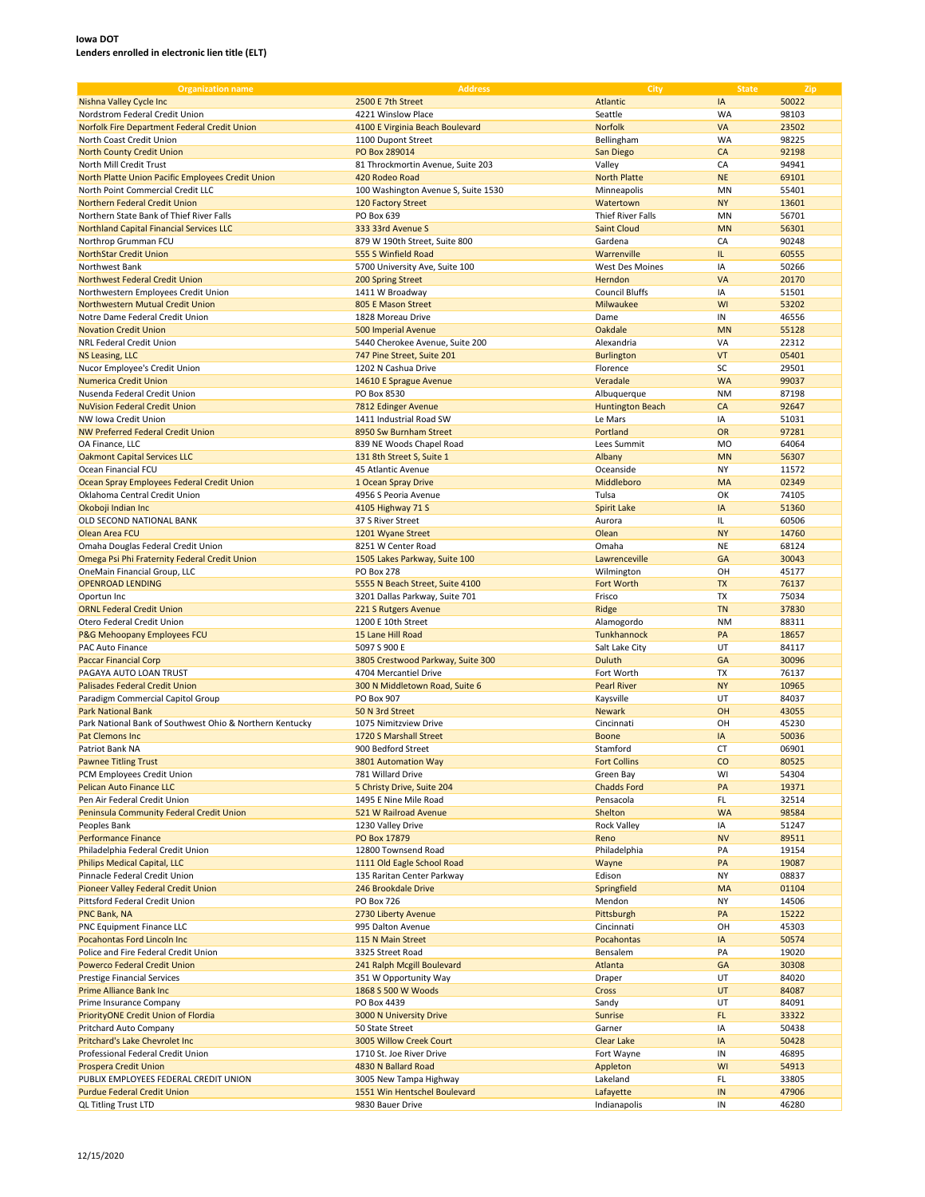| <b>Organization name</b>                                 | <b>Address</b>                      | City                    | <b>State</b> | Zip   |
|----------------------------------------------------------|-------------------------------------|-------------------------|--------------|-------|
| Nishna Valley Cycle Inc                                  | 2500 E 7th Street                   | Atlantic                | IA           | 50022 |
| Nordstrom Federal Credit Union                           | 4221 Winslow Place                  | Seattle                 | <b>WA</b>    | 98103 |
| Norfolk Fire Department Federal Credit Union             | 4100 E Virginia Beach Boulevard     | Norfolk                 | VA           | 23502 |
|                                                          |                                     |                         | <b>WA</b>    | 98225 |
| North Coast Credit Union                                 | 1100 Dupont Street                  | Bellingham              |              |       |
| <b>North County Credit Union</b>                         | PO Box 289014                       | San Diego               | CA           | 92198 |
| North Mill Credit Trust                                  | 81 Throckmortin Avenue, Suite 203   | Valley                  | CA           | 94941 |
| North Platte Union Pacific Employees Credit Union        | 420 Rodeo Road                      | <b>North Platte</b>     | <b>NE</b>    | 69101 |
| North Point Commercial Credit LLC                        | 100 Washington Avenue S, Suite 1530 | Minneapolis             | MN           | 55401 |
| Northern Federal Credit Union                            | 120 Factory Street                  | Watertown               | <b>NY</b>    | 13601 |
| Northern State Bank of Thief River Falls                 | PO Box 639                          | Thief River Falls       | MN           | 56701 |
| <b>Northland Capital Financial Services LLC</b>          | 333 33rd Avenue S                   | <b>Saint Cloud</b>      | <b>MN</b>    | 56301 |
| Northrop Grumman FCU                                     | 879 W 190th Street, Suite 800       | Gardena                 | CA           | 90248 |
| <b>NorthStar Credit Union</b>                            | 555 S Winfield Road                 | Warrenville             | IL.          | 60555 |
| Northwest Bank                                           | 5700 University Ave, Suite 100      | <b>West Des Moines</b>  | IA           | 50266 |
| <b>Northwest Federal Credit Union</b>                    | 200 Spring Street                   | Herndon                 | VA           | 20170 |
| Northwestern Employees Credit Union                      | 1411 W Broadway                     | <b>Council Bluffs</b>   | IA           | 51501 |
| Northwestern Mutual Credit Union                         | 805 E Mason Street                  | Milwaukee               | WI           | 53202 |
| Notre Dame Federal Credit Union                          | 1828 Moreau Drive                   | Dame                    | IN           | 46556 |
|                                                          |                                     |                         |              |       |
| <b>Novation Credit Union</b>                             | 500 Imperial Avenue                 | Oakdale                 | <b>MN</b>    | 55128 |
| NRL Federal Credit Union                                 | 5440 Cherokee Avenue, Suite 200     | Alexandria              | VA           | 22312 |
| <b>NS Leasing, LLC</b>                                   | 747 Pine Street, Suite 201          | <b>Burlington</b>       | VT           | 05401 |
| Nucor Employee's Credit Union                            | 1202 N Cashua Drive                 | Florence                | SC           | 29501 |
| <b>Numerica Credit Union</b>                             | 14610 E Sprague Avenue              | Veradale                | <b>WA</b>    | 99037 |
| Nusenda Federal Credit Union                             | PO Box 8530                         | Albuquerque             | <b>NM</b>    | 87198 |
| <b>NuVision Federal Credit Union</b>                     | 7812 Edinger Avenue                 | <b>Huntington Beach</b> | CA           | 92647 |
| NW Jowa Credit Union                                     | 1411 Industrial Road SW             | Le Mars                 | IA           | 51031 |
| <b>NW Preferred Federal Credit Union</b>                 | 8950 Sw Burnham Street              | Portland                | OR           | 97281 |
| OA Finance, LLC                                          | 839 NE Woods Chapel Road            | Lees Summit             | <b>MO</b>    | 64064 |
| <b>Oakmont Capital Services LLC</b>                      | 131 8th Street S, Suite 1           | Albany                  | <b>MN</b>    | 56307 |
| Ocean Financial FCU                                      | 45 Atlantic Avenue                  | Oceanside               | <b>NY</b>    | 11572 |
|                                                          |                                     |                         |              |       |
| Ocean Spray Employees Federal Credit Union               | 1 Ocean Spray Drive                 | Middleboro              | <b>MA</b>    | 02349 |
| Oklahoma Central Credit Union                            | 4956 S Peoria Avenue                | Tulsa                   | OK           | 74105 |
| Okoboji Indian Inc                                       | 4105 Highway 71 S                   | <b>Spirit Lake</b>      | IA           | 51360 |
| OLD SECOND NATIONAL BANK                                 | 37 S River Street                   | Aurora                  | IL.          | 60506 |
| Olean Area FCU                                           | 1201 Wyane Street                   | Olean                   | <b>NY</b>    | 14760 |
| Omaha Douglas Federal Credit Union                       | 8251 W Center Road                  | Omaha                   | <b>NE</b>    | 68124 |
| Omega Psi Phi Fraternity Federal Credit Union            | 1505 Lakes Parkway, Suite 100       | Lawrenceville           | GA           | 30043 |
| OneMain Financial Group, LLC                             | <b>PO Box 278</b>                   | Wilmington              | OH           | 45177 |
| <b>OPENROAD LENDING</b>                                  | 5555 N Beach Street, Suite 4100     | Fort Worth              | <b>TX</b>    | 76137 |
| Oportun Inc                                              | 3201 Dallas Parkway, Suite 701      | Frisco                  | TX           | 75034 |
| <b>ORNL Federal Credit Union</b>                         | 221 S Rutgers Avenue                | Ridge                   | <b>TN</b>    | 37830 |
|                                                          |                                     |                         | <b>NM</b>    | 88311 |
| Otero Federal Credit Union                               | 1200 E 10th Street                  | Alamogordo              |              |       |
| P&G Mehoopany Employees FCU                              | 15 Lane Hill Road                   | Tunkhannock             | PA           | 18657 |
| PAC Auto Finance                                         | 5097 S 900 E                        | Salt Lake City          | UT           | 84117 |
| <b>Paccar Financial Corp</b>                             | 3805 Crestwood Parkway, Suite 300   | Duluth                  | GA           | 30096 |
| PAGAYA AUTO LOAN TRUST                                   | 4704 Mercantiel Drive               | Fort Worth              | TX           | 76137 |
| Palisades Federal Credit Union                           | 300 N Middletown Road, Suite 6      | <b>Pearl River</b>      | <b>NY</b>    | 10965 |
| Paradigm Commercial Capitol Group                        | PO Box 907                          | Kaysville               | UT           | 84037 |
| <b>Park National Bank</b>                                | 50 N 3rd Street                     | <b>Newark</b>           | OH           | 43055 |
| Park National Bank of Southwest Ohio & Northern Kentucky | 1075 Nimitzview Drive               | Cincinnati              | OH           | 45230 |
| Pat Clemons Inc                                          | 1720 S Marshall Street              | <b>Boone</b>            | IA           | 50036 |
| Patriot Bank NA                                          | 900 Bedford Street                  | Stamford                | <b>CT</b>    | 06901 |
| <b>Pawnee Titling Trust</b>                              | 3801 Automation Way                 | <b>Fort Collins</b>     | $\rm CO$     | 80525 |
| PCM Employees Credit Union                               | 781 Willard Drive                   | Green Bay               | WI           | 54304 |
| Pelican Auto Finance LLC                                 | 5 Christy Drive, Suite 204          | <b>Chadds Ford</b>      | PA           | 19371 |
| Pen Air Federal Credit Union                             | 1495 E Nine Mile Road               | Pensacola               | FL.          |       |
| Peninsula Community Federal Credit Union                 | 521 W Railroad Avenue               |                         | <b>WA</b>    | 32514 |
|                                                          |                                     | Shelton                 |              | 98584 |
| Peoples Bank                                             | 1230 Valley Drive                   | <b>Rock Valley</b>      | IA           | 51247 |
| <b>Performance Finance</b>                               | PO Box 17879                        | Reno                    | <b>NV</b>    | 89511 |
| Philadelphia Federal Credit Union                        | 12800 Townsend Road                 | Philadelphia            | PA           | 19154 |
| Philips Medical Capital, LLC                             | 1111 Old Eagle School Road          | Wayne                   | PA           | 19087 |
| Pinnacle Federal Credit Union                            | 135 Raritan Center Parkway          | Edison                  | NY           | 08837 |
| Pioneer Valley Federal Credit Union                      | 246 Brookdale Drive                 | Springfield             | MA           | 01104 |
| Pittsford Federal Credit Union                           | PO Box 726                          | Mendon                  | NY           | 14506 |
| PNC Bank, NA                                             | 2730 Liberty Avenue                 | Pittsburgh              | PA           | 15222 |
| PNC Equipment Finance LLC                                | 995 Dalton Avenue                   | Cincinnati              | OH           | 45303 |
| Pocahontas Ford Lincoln Inc                              | 115 N Main Street                   | Pocahontas              | IA           | 50574 |
| Police and Fire Federal Credit Union                     | 3325 Street Road                    | Bensalem                | PA           | 19020 |
| <b>Powerco Federal Credit Union</b>                      | 241 Ralph Mcgill Boulevard          | Atlanta                 | GA           | 30308 |
| <b>Prestige Financial Services</b>                       | 351 W Opportunity Way               | Draper                  | UT           | 84020 |
| Prime Alliance Bank Inc                                  | 1868 S 500 W Woods                  | Cross                   | UT           | 84087 |
| Prime Insurance Company                                  | PO Box 4439                         | Sandy                   | UT           | 84091 |
|                                                          |                                     |                         |              |       |
| PriorityONE Credit Union of Flordia                      | 3000 N University Drive             | Sunrise                 | FL           | 33322 |
| Pritchard Auto Company                                   | 50 State Street                     | Garner                  | IA           | 50438 |
| Pritchard's Lake Chevrolet Inc                           | 3005 Willow Creek Court             | Clear Lake              | IA           | 50428 |
| Professional Federal Credit Union                        | 1710 St. Joe River Drive            | Fort Wayne              | IN           | 46895 |
| Prospera Credit Union                                    | 4830 N Ballard Road                 | Appleton                | WI           | 54913 |
| PUBLIX EMPLOYEES FEDERAL CREDIT UNION                    | 3005 New Tampa Highway              | Lakeland                | FL           | 33805 |
| <b>Purdue Federal Credit Union</b>                       | 1551 Win Hentschel Boulevard        | Lafayette               | ${\sf IN}$   | 47906 |
| <b>QL Titling Trust LTD</b>                              | 9830 Bauer Drive                    | Indianapolis            | IN           | 46280 |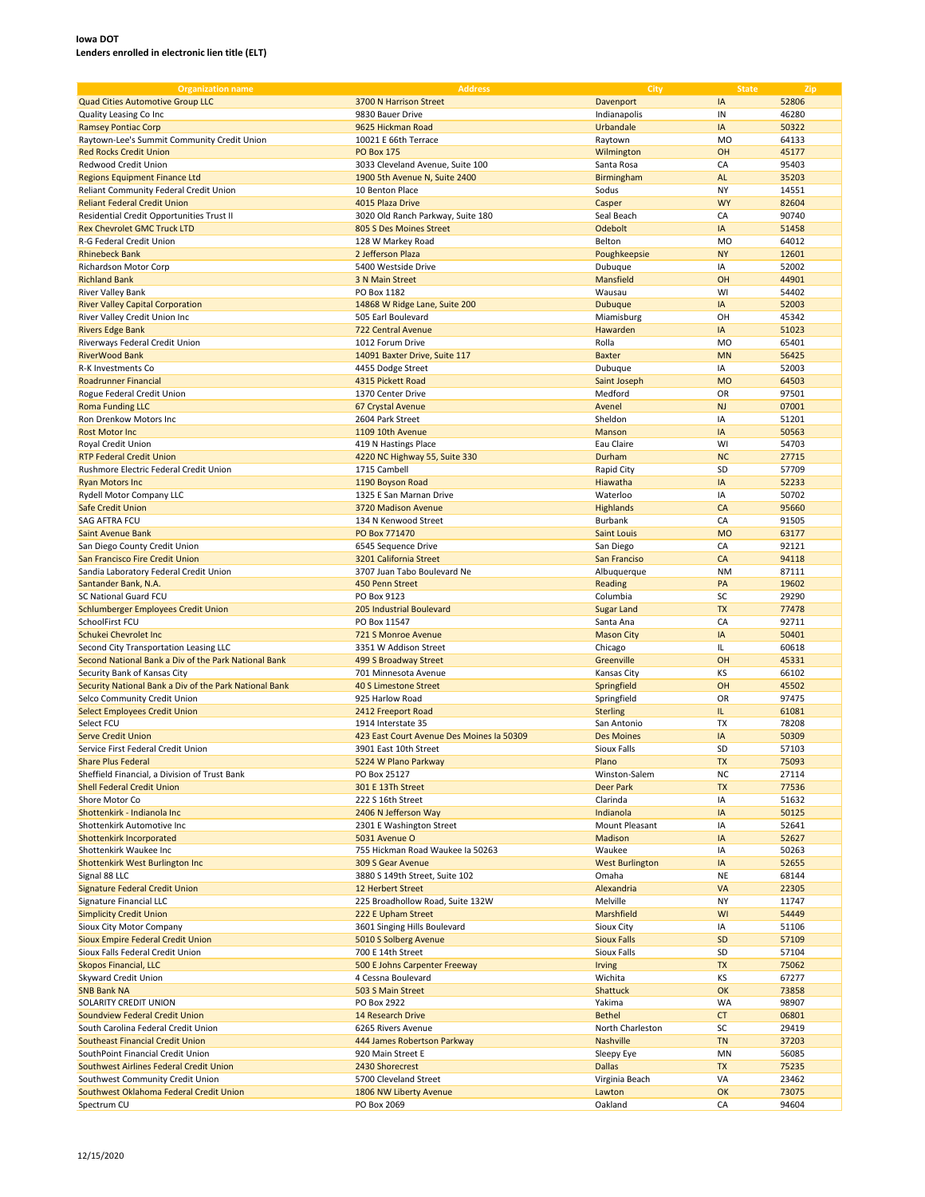| <b>Organization name</b>                               | <b>Address</b>                            | City                   | <b>State</b>   | Zip   |
|--------------------------------------------------------|-------------------------------------------|------------------------|----------------|-------|
|                                                        |                                           | Davenport              |                |       |
| <b>Quad Cities Automotive Group LLC</b>                | 3700 N Harrison Street                    |                        | IA             | 52806 |
| Quality Leasing Co Inc                                 | 9830 Bauer Drive                          | Indianapolis           | IN             | 46280 |
| <b>Ramsey Pontiac Corp</b>                             | 9625 Hickman Road                         | Urbandale              | IA             | 50322 |
| Raytown-Lee's Summit Community Credit Union            | 10021 E 66th Terrace                      | Raytown                | M <sub>O</sub> | 64133 |
| <b>Red Rocks Credit Union</b>                          | <b>PO Box 175</b>                         | Wilmington             | OH             | 45177 |
| Redwood Credit Union                                   |                                           |                        |                |       |
|                                                        | 3033 Cleveland Avenue, Suite 100          | Santa Rosa             | CA             | 95403 |
| <b>Regions Equipment Finance Ltd</b>                   | 1900 5th Avenue N, Suite 2400             | Birmingham             | <b>AL</b>      | 35203 |
| Reliant Community Federal Credit Union                 | 10 Benton Place                           | Sodus                  | NY             | 14551 |
| <b>Reliant Federal Credit Union</b>                    | 4015 Plaza Drive                          | Casper                 | <b>WY</b>      | 82604 |
| Residential Credit Opportunities Trust II              | 3020 Old Ranch Parkway, Suite 180         | Seal Beach             | CA             | 90740 |
| <b>Rex Chevrolet GMC Truck LTD</b>                     | 805 S Des Moines Street                   | Odebolt                | IA             | 51458 |
|                                                        |                                           |                        |                |       |
| R-G Federal Credit Union                               | 128 W Markey Road                         | Belton                 | <b>MO</b>      | 64012 |
| <b>Rhinebeck Bank</b>                                  | 2 Jefferson Plaza                         | Poughkeepsie           | <b>NY</b>      | 12601 |
| Richardson Motor Corp                                  | 5400 Westside Drive                       | Dubuque                | IA             | 52002 |
| <b>Richland Bank</b>                                   | 3 N Main Street                           | Mansfield              | OH             | 44901 |
| River Valley Bank                                      | PO Box 1182                               | Wausau                 | WI             | 54402 |
|                                                        |                                           |                        | IA             |       |
| <b>River Valley Capital Corporation</b>                | 14868 W Ridge Lane, Suite 200             | <b>Dubuque</b>         |                | 52003 |
| River Valley Credit Union Inc                          | 505 Earl Boulevard                        | Miamisburg             | OH             | 45342 |
| <b>Rivers Edge Bank</b>                                | <b>722 Central Avenue</b>                 | Hawarden               | IA             | 51023 |
| Riverways Federal Credit Union                         | 1012 Forum Drive                          | Rolla                  | <b>MO</b>      | 65401 |
| <b>RiverWood Bank</b>                                  | 14091 Baxter Drive, Suite 117             | <b>Baxter</b>          | <b>MN</b>      | 56425 |
| R-K Investments Co                                     | 4455 Dodge Street                         | Dubuque                | ΙA             | 52003 |
|                                                        |                                           |                        |                |       |
| Roadrunner Financial                                   | 4315 Pickett Road                         | Saint Joseph           | <b>MO</b>      | 64503 |
| Rogue Federal Credit Union                             | 1370 Center Drive                         | Medford                | OR             | 97501 |
| <b>Roma Funding LLC</b>                                | 67 Crystal Avenue                         | Avenel                 | <b>NJ</b>      | 07001 |
| Ron Drenkow Motors Inc                                 | 2604 Park Street                          | Sheldon                | IA             | 51201 |
| <b>Rost Motor Inc</b>                                  | 1109 10th Avenue                          | Manson                 | IA             | 50563 |
|                                                        |                                           |                        |                |       |
| Royal Credit Union                                     | 419 N Hastings Place                      | Eau Claire             | WI             | 54703 |
| <b>RTP Federal Credit Union</b>                        | 4220 NC Highway 55, Suite 330             | Durham                 | <b>NC</b>      | 27715 |
| Rushmore Electric Federal Credit Union                 | 1715 Cambell                              | Rapid City             | SD             | 57709 |
| <b>Ryan Motors Inc</b>                                 | 1190 Boyson Road                          | Hiawatha               | IA             | 52233 |
| Rydell Motor Company LLC                               | 1325 E San Marnan Drive                   | Waterloo               | IA             | 50702 |
|                                                        |                                           |                        |                |       |
| <b>Safe Credit Union</b>                               | 3720 Madison Avenue                       | Highlands              | CA             | 95660 |
| SAG AFTRA FCU                                          | 134 N Kenwood Street                      | Burbank                | CA             | 91505 |
| Saint Avenue Bank                                      | PO Box 771470                             | <b>Saint Louis</b>     | <b>MO</b>      | 63177 |
| San Diego County Credit Union                          | 6545 Sequence Drive                       | San Diego              | CA             | 92121 |
| San Francisco Fire Credit Union                        | 3201 California Street                    | San Franciso           | CA             | 94118 |
|                                                        |                                           |                        |                |       |
| Sandia Laboratory Federal Credit Union                 | 3707 Juan Tabo Boulevard Ne               | Albuquerque            | <b>NM</b>      | 87111 |
| Santander Bank, N.A.                                   | 450 Penn Street                           | Reading                | PA             | 19602 |
| SC National Guard FCU                                  | PO Box 9123                               | Columbia               | SC             | 29290 |
| Schlumberger Employees Credit Union                    | 205 Industrial Boulevard                  | <b>Sugar Land</b>      | <b>TX</b>      | 77478 |
| SchoolFirst FCU                                        | PO Box 11547                              | Santa Ana              | CA             | 92711 |
|                                                        |                                           |                        |                |       |
| Schukei Chevrolet Inc                                  | 721 S Monroe Avenue                       | <b>Mason City</b>      | IA             | 50401 |
| Second City Transportation Leasing LLC                 | 3351 W Addison Street                     | Chicago                | IL             | 60618 |
| Second National Bank a Div of the Park National Bank   | 499 S Broadway Street                     | Greenville             | OH             | 45331 |
| Security Bank of Kansas City                           | 701 Minnesota Avenue                      | Kansas City            | KS             | 66102 |
| Security National Bank a Div of the Park National Bank | <b>40 S Limestone Street</b>              | Springfield            | OH             | 45502 |
|                                                        | 925 Harlow Road                           |                        | OR             | 97475 |
| Selco Community Credit Union                           |                                           | Springfield            |                |       |
| <b>Select Employees Credit Union</b>                   | 2412 Freeport Road                        | <b>Sterling</b>        | IL.            | 61081 |
| Select FCU                                             | 1914 Interstate 35                        | San Antonio            | <b>TX</b>      | 78208 |
| <b>Serve Credit Union</b>                              | 423 East Court Avenue Des Moines la 50309 | <b>Des Moines</b>      | IA             | 50309 |
| Service First Federal Credit Union                     | 3901 East 10th Street                     | Sioux Falls            | SD             | 57103 |
|                                                        |                                           | Plano                  | <b>TX</b>      | 75093 |
| <b>Share Plus Federal</b>                              | 5224 W Plano Parkway                      |                        |                |       |
| Sheffield Financial, a Division of Trust Bank          | PO Box 25127                              | Winston-Salem          | NC             | 27114 |
| <b>Shell Federal Credit Union</b>                      | 301 E 13Th Street                         | <b>Deer Park</b>       | TX             | 77536 |
| Shore Motor Co                                         | 222 S 16th Street                         | Clarinda               | IA             | 51632 |
| Shottenkirk - Indianola Inc                            | 2406 N Jefferson Way                      | Indianola              | IA             | 50125 |
| Shottenkirk Automotive Inc                             | 2301 E Washington Street                  | Mount Pleasant         | IA             | 52641 |
| Shottenkirk Incorporated                               | 5031 Avenue O                             | Madison                | IA             | 52627 |
|                                                        |                                           |                        |                |       |
| Shottenkirk Waukee Inc                                 | 755 Hickman Road Waukee Ia 50263          | Waukee                 | IA             | 50263 |
| Shottenkirk West Burlington Inc                        | 309 S Gear Avenue                         | <b>West Burlington</b> | IA             | 52655 |
| Signal 88 LLC                                          | 3880 S 149th Street, Suite 102            | Omaha                  | NE             | 68144 |
| Signature Federal Credit Union                         | 12 Herbert Street                         | Alexandria             | VA             | 22305 |
| Signature Financial LLC                                | 225 Broadhollow Road, Suite 132W          | Melville               | <b>NY</b>      | 11747 |
| <b>Simplicity Credit Union</b>                         | 222 E Upham Street                        | Marshfield             | WI             | 54449 |
|                                                        |                                           |                        |                |       |
| Sioux City Motor Company                               | 3601 Singing Hills Boulevard              | Sioux City             | IA             | 51106 |
| Sioux Empire Federal Credit Union                      | 5010 S Solberg Avenue                     | <b>Sioux Falls</b>     | <b>SD</b>      | 57109 |
| Sioux Falls Federal Credit Union                       | 700 E 14th Street                         | Sioux Falls            | SD             | 57104 |
| Skopos Financial, LLC                                  | 500 E Johns Carpenter Freeway             | <b>Irving</b>          | <b>TX</b>      | 75062 |
| Skyward Credit Union                                   | 4 Cessna Boulevard                        | Wichita                | ΚS             | 67277 |
|                                                        |                                           |                        | OK             |       |
| <b>SNB Bank NA</b>                                     | 503 S Main Street                         | Shattuck               |                | 73858 |
| SOLARITY CREDIT UNION                                  | PO Box 2922                               | Yakima                 | WA             | 98907 |
| Soundview Federal Credit Union                         | 14 Research Drive                         | <b>Bethel</b>          | <b>CT</b>      | 06801 |
| South Carolina Federal Credit Union                    | 6265 Rivers Avenue                        | North Charleston       | SC             | 29419 |
| <b>Southeast Financial Credit Union</b>                | 444 James Robertson Parkway               | <b>Nashville</b>       | <b>TN</b>      | 37203 |
|                                                        |                                           |                        |                |       |
| SouthPoint Financial Credit Union                      | 920 Main Street E                         | Sleepy Eye             | MN             | 56085 |
| Southwest Airlines Federal Credit Union                | 2430 Shorecrest                           | <b>Dallas</b>          | <b>TX</b>      | 75235 |
| Southwest Community Credit Union                       | 5700 Cleveland Street                     | Virginia Beach         | VA             | 23462 |
| Southwest Oklahoma Federal Credit Union                | 1806 NW Liberty Avenue                    | Lawton                 | OK             | 73075 |
| Spectrum CU                                            | PO Box 2069                               | Oakland                | CA             | 94604 |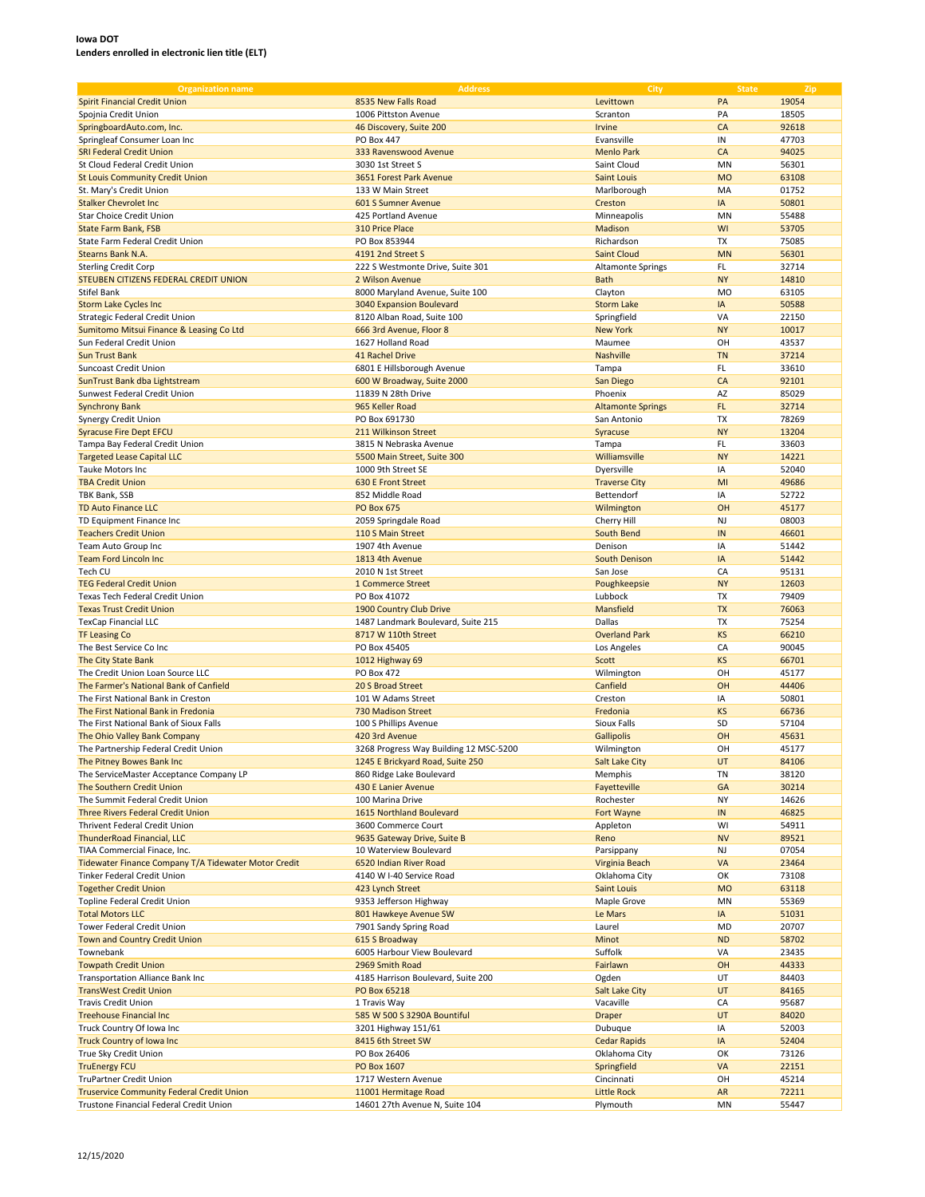| <b>Organization name</b>                             | <b>Address</b>                         | City                     | <b>State</b> | Zip   |
|------------------------------------------------------|----------------------------------------|--------------------------|--------------|-------|
|                                                      |                                        |                          |              |       |
| <b>Spirit Financial Credit Union</b>                 | 8535 New Falls Road                    | Levittown                | PA           | 19054 |
| Spojnia Credit Union                                 | 1006 Pittston Avenue                   | Scranton                 | PA           | 18505 |
| SpringboardAuto.com, Inc.                            | 46 Discovery, Suite 200                | Irvine                   | CA           | 92618 |
| Springleaf Consumer Loan Inc                         | PO Box 447                             | Evansville               | IN           | 47703 |
| <b>SRI Federal Credit Union</b>                      | 333 Ravenswood Avenue                  | <b>Menlo Park</b>        | CA           | 94025 |
|                                                      |                                        | Saint Cloud              |              |       |
| St Cloud Federal Credit Union                        | 3030 1st Street S                      |                          | MN           | 56301 |
| <b>St Louis Community Credit Union</b>               | 3651 Forest Park Avenue                | <b>Saint Louis</b>       | <b>MO</b>    | 63108 |
| St. Mary's Credit Union                              | 133 W Main Street                      | Marlborough              | MA           | 01752 |
| <b>Stalker Chevrolet Inc</b>                         | 601 S Sumner Avenue                    | Creston                  | IA           | 50801 |
| <b>Star Choice Credit Union</b>                      | 425 Portland Avenue                    | Minneapolis              | MN           | 55488 |
| <b>State Farm Bank, FSB</b>                          | 310 Price Place                        | Madison                  | WI           | 53705 |
|                                                      |                                        |                          |              |       |
| State Farm Federal Credit Union                      | PO Box 853944                          | Richardson               | TX           | 75085 |
| Stearns Bank N.A.                                    | 4191 2nd Street S                      | <b>Saint Cloud</b>       | <b>MN</b>    | 56301 |
| <b>Sterling Credit Corp</b>                          | 222 S Westmonte Drive, Suite 301       | <b>Altamonte Springs</b> | FL           | 32714 |
| STEUBEN CITIZENS FEDERAL CREDIT UNION                | 2 Wilson Avenue                        | <b>Bath</b>              | <b>NY</b>    | 14810 |
| <b>Stifel Bank</b>                                   | 8000 Maryland Avenue, Suite 100        | Clayton                  | <b>MO</b>    | 63105 |
|                                                      |                                        |                          |              |       |
| <b>Storm Lake Cycles Inc</b>                         | 3040 Expansion Boulevard               | <b>Storm Lake</b>        | IA           | 50588 |
| Strategic Federal Credit Union                       | 8120 Alban Road, Suite 100             | Springfield              | VA           | 22150 |
| Sumitomo Mitsui Finance & Leasing Co Ltd             | 666 3rd Avenue, Floor 8                | <b>New York</b>          | <b>NY</b>    | 10017 |
| Sun Federal Credit Union                             | 1627 Holland Road                      | Maumee                   | OH           | 43537 |
| <b>Sun Trust Bank</b>                                | 41 Rachel Drive                        | <b>Nashville</b>         | <b>TN</b>    | 37214 |
| Suncoast Credit Union                                |                                        |                          | FL.          | 33610 |
|                                                      | 6801 E Hillsborough Avenue             | Tampa                    |              |       |
| SunTrust Bank dba Lightstream                        | 600 W Broadway, Suite 2000             | San Diego                | CA           | 92101 |
| Sunwest Federal Credit Union                         | 11839 N 28th Drive                     | Phoenix                  | AZ           | 85029 |
| <b>Synchrony Bank</b>                                | 965 Keller Road                        | <b>Altamonte Springs</b> | FL           | 32714 |
| Synergy Credit Union                                 | PO Box 691730                          | San Antonio              | <b>TX</b>    | 78269 |
| <b>Syracuse Fire Dept EFCU</b>                       | 211 Wilkinson Street                   | Syracuse                 | <b>NY</b>    | 13204 |
|                                                      |                                        |                          |              |       |
| Tampa Bay Federal Credit Union                       | 3815 N Nebraska Avenue                 | Tampa                    | FL           | 33603 |
| <b>Targeted Lease Capital LLC</b>                    | 5500 Main Street, Suite 300            | Williamsville            | <b>NY</b>    | 14221 |
| Tauke Motors Inc                                     | 1000 9th Street SE                     | Dyersville               | IA           | 52040 |
| <b>TBA Credit Union</b>                              | 630 E Front Street                     | <b>Traverse City</b>     | MI           | 49686 |
| TBK Bank, SSB                                        | 852 Middle Road                        | Bettendorf               | IA           | 52722 |
|                                                      |                                        |                          |              |       |
| <b>TD Auto Finance LLC</b>                           | <b>PO Box 675</b>                      | Wilmington               | OH           | 45177 |
| TD Equipment Finance Inc                             | 2059 Springdale Road                   | Cherry Hill              | <b>NJ</b>    | 08003 |
| <b>Teachers Credit Union</b>                         | 110 S Main Street                      | South Bend               | IN           | 46601 |
| Team Auto Group Inc                                  | 1907 4th Avenue                        | Denison                  | IA           | 51442 |
| <b>Team Ford Lincoln Inc</b>                         | 1813 4th Avenue                        | South Denison            | IA           | 51442 |
|                                                      |                                        |                          |              |       |
| Tech CU                                              | 2010 N 1st Street                      | San Jose                 | CA           | 95131 |
| <b>TEG Federal Credit Union</b>                      | 1 Commerce Street                      | Poughkeepsie             | <b>NY</b>    | 12603 |
| Texas Tech Federal Credit Union                      | PO Box 41072                           | Lubbock                  | <b>TX</b>    | 79409 |
| <b>Texas Trust Credit Union</b>                      | 1900 Country Club Drive                | Mansfield                | <b>TX</b>    | 76063 |
| <b>TexCap Financial LLC</b>                          | 1487 Landmark Boulevard, Suite 215     | Dallas                   | <b>TX</b>    | 75254 |
|                                                      | 8717 W 110th Street                    | <b>Overland Park</b>     | <b>KS</b>    | 66210 |
| <b>TF Leasing Co</b>                                 |                                        |                          |              |       |
| The Best Service Co Inc                              | PO Box 45405                           | Los Angeles              | CA           | 90045 |
| The City State Bank                                  | 1012 Highway 69                        | Scott                    | <b>KS</b>    | 66701 |
| The Credit Union Loan Source LLC                     | PO Box 472                             | Wilmington               | OH           | 45177 |
| The Farmer's National Bank of Canfield               | 20 S Broad Street                      | Canfield                 | OH           | 44406 |
| The First National Bank in Creston                   | 101 W Adams Street                     | Creston                  | IA           | 50801 |
|                                                      |                                        |                          |              |       |
| The First National Bank in Fredonia                  | 730 Madison Street                     | Fredonia                 | KS           | 66736 |
| The First National Bank of Sioux Falls               | 100 S Phillips Avenue                  | Sioux Falls              | SD           | 57104 |
| The Ohio Valley Bank Company                         | 420 3rd Avenue                         | Gallipolis               | OH           | 45631 |
| The Partnership Federal Credit Union                 | 3268 Progress Way Building 12 MSC-5200 | Wilmington               | OH           | 45177 |
| The Pitney Bowes Bank Inc                            | 1245 E Brickyard Road, Suite 250       | Salt Lake City           | UT           | 84106 |
| The ServiceMaster Acceptance Company LP              |                                        |                          |              |       |
|                                                      | 860 Ridge Lake Boulevard               | Memphis                  | TN           | 38120 |
| The Southern Credit Union                            | 430 E Lanier Avenue                    | Fayetteville             | GA           | 30214 |
| The Summit Federal Credit Union                      | 100 Marina Drive                       | Rochester                | NY           | 14626 |
| <b>Three Rivers Federal Credit Union</b>             | 1615 Northland Boulevard               | Fort Wayne               | IN           | 46825 |
| Thrivent Federal Credit Union                        | 3600 Commerce Court                    | Appleton                 | WI           | 54911 |
| <b>ThunderRoad Financial, LLC</b>                    | 9635 Gateway Drive, Suite B            | Reno                     | <b>NV</b>    | 89521 |
| TIAA Commercial Finace, Inc.                         | 10 Waterview Boulevard                 | Parsippany               | NJ           | 07054 |
|                                                      |                                        |                          |              |       |
| Tidewater Finance Company T/A Tidewater Motor Credit | 6520 Indian River Road                 | Virginia Beach           | VA           | 23464 |
| Tinker Federal Credit Union                          | 4140 W I-40 Service Road               | Oklahoma City            | OK           | 73108 |
| <b>Together Credit Union</b>                         | 423 Lynch Street                       | <b>Saint Louis</b>       | <b>MO</b>    | 63118 |
| Topline Federal Credit Union                         | 9353 Jefferson Highway                 | Maple Grove              | MN           | 55369 |
| <b>Total Motors LLC</b>                              | 801 Hawkeye Avenue SW                  | Le Mars                  | IA           | 51031 |
| Tower Federal Credit Union                           | 7901 Sandy Spring Road                 | Laurel                   | MD           | 20707 |
|                                                      |                                        |                          |              |       |
| Town and Country Credit Union                        | 615 S Broadway                         | Minot                    | <b>ND</b>    | 58702 |
| Townebank                                            | 6005 Harbour View Boulevard            | Suffolk                  | VA           | 23435 |
| <b>Towpath Credit Union</b>                          | 2969 Smith Road                        | Fairlawn                 | OH           | 44333 |
| Transportation Alliance Bank Inc                     | 4185 Harrison Boulevard, Suite 200     | Ogden                    | UT           | 84403 |
| <b>TransWest Credit Union</b>                        | PO Box 65218                           | <b>Salt Lake City</b>    | UT           | 84165 |
|                                                      |                                        |                          |              |       |
| <b>Travis Credit Union</b>                           | 1 Travis Way                           | Vacaville                | CA           | 95687 |
| <b>Treehouse Financial Inc.</b>                      | 585 W 500 S 3290A Bountiful            | <b>Draper</b>            | UT           | 84020 |
| Truck Country Of Iowa Inc                            | 3201 Highway 151/61                    | Dubuque                  | IA           | 52003 |
| <b>Truck Country of Iowa Inc.</b>                    | 8415 6th Street SW                     | <b>Cedar Rapids</b>      | IA           | 52404 |
| True Sky Credit Union                                | PO Box 26406                           | Oklahoma City            | OK           | 73126 |
|                                                      | PO Box 1607                            | Springfield              | VA           | 22151 |
| <b>TruEnergy FCU</b>                                 |                                        |                          |              |       |
| TruPartner Credit Union                              | 1717 Western Avenue                    | Cincinnati               | OН           | 45214 |
| <b>Truservice Community Federal Credit Union</b>     | 11001 Hermitage Road                   | <b>Little Rock</b>       | AR           | 72211 |
| Trustone Financial Federal Credit Union              | 14601 27th Avenue N, Suite 104         | Plymouth                 | MN           | 55447 |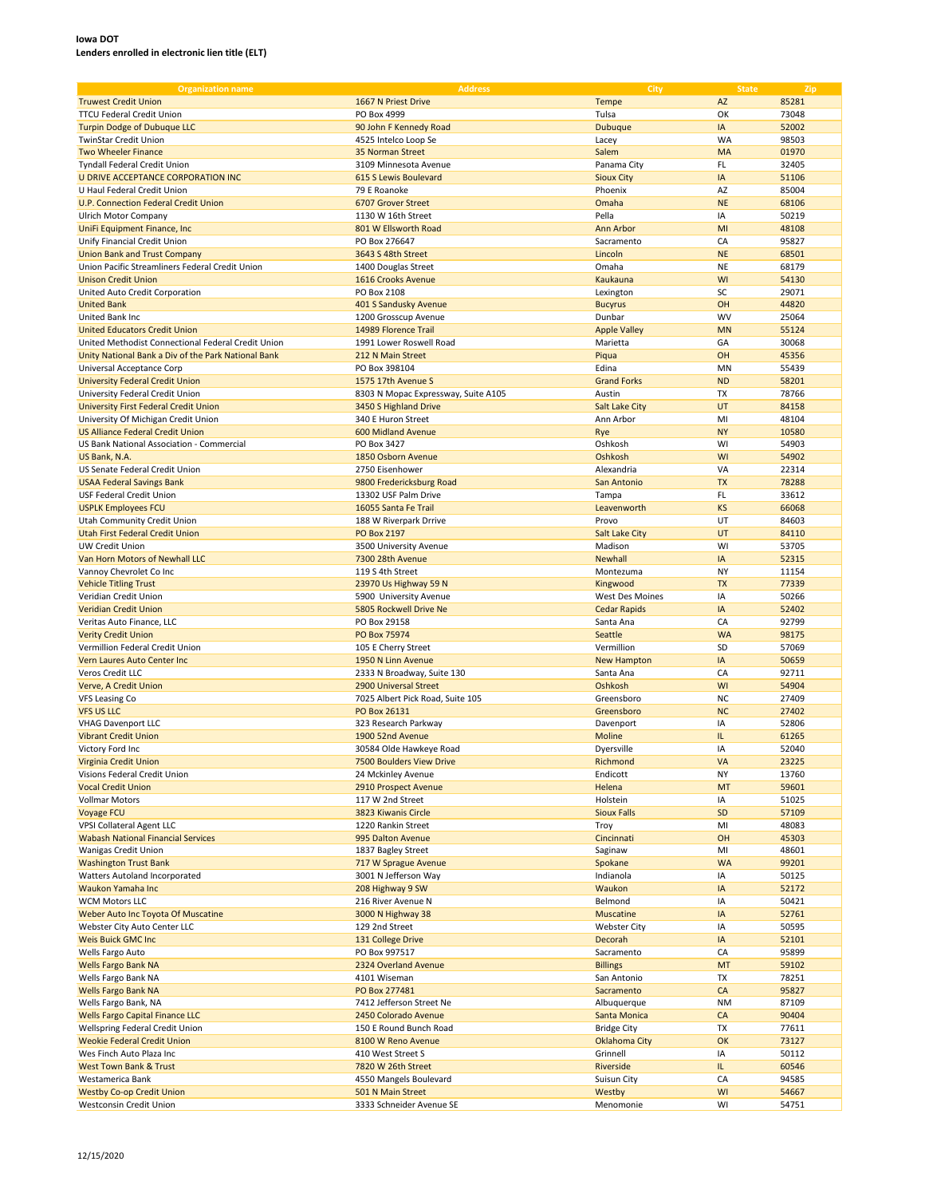| <b>Organization name</b>                            | <b>Address</b>                      | City                  | <b>State</b> | Zip   |
|-----------------------------------------------------|-------------------------------------|-----------------------|--------------|-------|
| <b>Truwest Credit Union</b>                         | 1667 N Priest Drive                 | Tempe                 | AZ           | 85281 |
| <b>TTCU Federal Credit Union</b>                    | PO Box 4999                         | Tulsa                 | OK           | 73048 |
| <b>Turpin Dodge of Dubuque LLC</b>                  | 90 John F Kennedy Road              | <b>Dubuque</b>        | IA           | 52002 |
|                                                     |                                     |                       |              |       |
| TwinStar Credit Union                               | 4525 Intelco Loop Se                | Lacey                 | WA           | 98503 |
| <b>Two Wheeler Finance</b>                          | 35 Norman Street                    | Salem                 | MA           | 01970 |
| <b>Tyndall Federal Credit Union</b>                 | 3109 Minnesota Avenue               | Panama City           | FL           | 32405 |
| U DRIVE ACCEPTANCE CORPORATION INC                  | 615 S Lewis Boulevard               | <b>Sioux City</b>     | IA           | 51106 |
| U Haul Federal Credit Union                         | 79 E Roanoke                        | Phoenix               | AZ           | 85004 |
| U.P. Connection Federal Credit Union                | 6707 Grover Street                  | Omaha                 | <b>NE</b>    | 68106 |
| Ulrich Motor Company                                | 1130 W 16th Street                  | Pella                 | IA           | 50219 |
| UniFi Equipment Finance, Inc                        | 801 W Ellsworth Road                | <b>Ann Arbor</b>      | MI           | 48108 |
| Unify Financial Credit Union                        | PO Box 276647                       | Sacramento            | CA           | 95827 |
| <b>Union Bank and Trust Company</b>                 | 3643 S 48th Street                  | Lincoln               | <b>NE</b>    | 68501 |
| Union Pacific Streamliners Federal Credit Union     | 1400 Douglas Street                 | Omaha                 | <b>NE</b>    | 68179 |
| <b>Unison Credit Union</b>                          | 1616 Crooks Avenue                  | Kaukauna              | WI           | 54130 |
| United Auto Credit Corporation                      | PO Box 2108                         | Lexington             | SC           | 29071 |
| <b>United Bank</b>                                  | 401 S Sandusky Avenue               | <b>Bucyrus</b>        | OH           | 44820 |
|                                                     |                                     |                       | <b>WV</b>    |       |
| United Bank Inc                                     | 1200 Grosscup Avenue                | Dunbar                |              | 25064 |
| <b>United Educators Credit Union</b>                | 14989 Florence Trail                | <b>Apple Valley</b>   | <b>MN</b>    | 55124 |
| United Methodist Connectional Federal Credit Union  | 1991 Lower Roswell Road             | Marietta              | GA           | 30068 |
| Unity National Bank a Div of the Park National Bank | 212 N Main Street                   | Piqua                 | OH           | 45356 |
| Universal Acceptance Corp                           | PO Box 398104                       | Edina                 | MN           | 55439 |
| <b>University Federal Credit Union</b>              | 1575 17th Avenue S                  | <b>Grand Forks</b>    | <b>ND</b>    | 58201 |
| University Federal Credit Union                     | 8303 N Mopac Expressway, Suite A105 | Austin                | TX           | 78766 |
| <b>University First Federal Credit Union</b>        | 3450 S Highland Drive               | <b>Salt Lake City</b> | UT           | 84158 |
| University Of Michigan Credit Union                 | 340 E Huron Street                  | Ann Arbor             | MI           | 48104 |
| <b>US Alliance Federal Credit Union</b>             | 600 Midland Avenue                  | Rye                   | <b>NY</b>    | 10580 |
| US Bank National Association - Commercial           | PO Box 3427                         | Oshkosh               | WI           | 54903 |
|                                                     |                                     |                       | WI           |       |
| US Bank, N.A.                                       | 1850 Osborn Avenue                  | Oshkosh               |              | 54902 |
| US Senate Federal Credit Union                      | 2750 Eisenhower                     | Alexandria            | VA           | 22314 |
| <b>USAA Federal Savings Bank</b>                    | 9800 Fredericksburg Road            | San Antonio           | <b>TX</b>    | 78288 |
| USF Federal Credit Union                            | 13302 USF Palm Drive                | Tampa                 | FL.          | 33612 |
| <b>USPLK Employees FCU</b>                          | 16055 Santa Fe Trail                | Leavenworth           | <b>KS</b>    | 66068 |
| Utah Community Credit Union                         | 188 W Riverpark Drrive              | Provo                 | UT           | 84603 |
| Utah First Federal Credit Union                     | <b>PO Box 2197</b>                  | <b>Salt Lake City</b> | UT           | 84110 |
| <b>UW Credit Union</b>                              | 3500 University Avenue              | Madison               | WI           | 53705 |
| Van Horn Motors of Newhall LLC                      | 7300 28th Avenue                    | Newhall               | IA           | 52315 |
| Vannoy Chevrolet Co Inc                             | 119 S 4th Street                    | Montezuma             | NY           | 11154 |
|                                                     |                                     |                       | <b>TX</b>    | 77339 |
| <b>Vehicle Titling Trust</b>                        | 23970 Us Highway 59 N               | Kingwood              |              |       |
| Veridian Credit Union                               | 5900 University Avenue              | West Des Moines       | IA           | 50266 |
| <b>Veridian Credit Union</b>                        | 5805 Rockwell Drive Ne              | <b>Cedar Rapids</b>   | IA           | 52402 |
| Veritas Auto Finance, LLC                           | PO Box 29158                        | Santa Ana             | CA           | 92799 |
| <b>Verity Credit Union</b>                          | PO Box 75974                        | Seattle               | <b>WA</b>    | 98175 |
| Vermillion Federal Credit Union                     | 105 E Cherry Street                 | Vermillion            | SD           | 57069 |
| Vern Laures Auto Center Inc                         | 1950 N Linn Avenue                  | New Hampton           | IA           | 50659 |
| Veros Credit LLC                                    | 2333 N Broadway, Suite 130          | Santa Ana             | CA           | 92711 |
| Verve, A Credit Union                               | 2900 Universal Street               | Oshkosh               | WI           | 54904 |
| VFS Leasing Co                                      | 7025 Albert Pick Road, Suite 105    | Greensboro            | <b>NC</b>    | 27409 |
| <b>VFS US LLC</b>                                   | PO Box 26131                        | Greensboro            | <b>NC</b>    | 27402 |
| <b>VHAG Davenport LLC</b>                           | 323 Research Parkway                | Davenport             | IA           | 52806 |
| <b>Vibrant Credit Union</b>                         | 1900 52nd Avenue                    | Moline                | IL.          | 61265 |
|                                                     |                                     |                       |              |       |
| Victory Ford Inc                                    | 30584 Olde Hawkeye Road             | Dyersville            | IA           | 52040 |
| Virginia Credit Union                               | 7500 Boulders View Drive            | Richmond              | VA           | 23225 |
| Visions Federal Credit Union                        | 24 Mckinley Avenue                  | Endicott              | NY           | 13760 |
| <b>Vocal Credit Union</b>                           | 2910 Prospect Avenue                | Helena                | MT           | 59601 |
| <b>Vollmar Motors</b>                               | 117 W 2nd Street                    | Holstein              | IA           | 51025 |
| <b>Voyage FCU</b>                                   | 3823 Kiwanis Circle                 | <b>Sioux Falls</b>    | <b>SD</b>    | 57109 |
| <b>VPSI Collateral Agent LLC</b>                    | 1220 Rankin Street                  | Troy                  | MI           | 48083 |
| <b>Wabash National Financial Services</b>           | 995 Dalton Avenue                   | Cincinnati            | OH           | 45303 |
| Wanigas Credit Union                                | 1837 Bagley Street                  | Saginaw               | MI           | 48601 |
| <b>Washington Trust Bank</b>                        | 717 W Sprague Avenue                | Spokane               | <b>WA</b>    | 99201 |
| Watters Autoland Incorporated                       | 3001 N Jefferson Way                | Indianola             | IA           | 50125 |
| Waukon Yamaha Inc                                   | 208 Highway 9 SW                    | Waukon                | IA           | 52172 |
| WCM Motors LLC                                      | 216 River Avenue N                  | Belmond               | ΙA           | 50421 |
|                                                     | 3000 N Highway 38                   |                       |              |       |
| Weber Auto Inc Toyota Of Muscatine                  |                                     | Muscatine             | IA           | 52761 |
| Webster City Auto Center LLC                        | 129 2nd Street                      | <b>Webster City</b>   | IA           | 50595 |
| <b>Weis Buick GMC Inc.</b>                          | 131 College Drive                   | Decorah               | IA           | 52101 |
| Wells Fargo Auto                                    | PO Box 997517                       | Sacramento            | CA           | 95899 |
| <b>Wells Fargo Bank NA</b>                          | 2324 Overland Avenue                | <b>Billings</b>       | MT           | 59102 |
| Wells Fargo Bank NA                                 | 4101 Wiseman                        | San Antonio           | TX           | 78251 |
| <b>Wells Fargo Bank NA</b>                          | PO Box 277481                       | Sacramento            | CA           | 95827 |
| Wells Fargo Bank, NA                                | 7412 Jefferson Street Ne            | Albuquerque           | <b>NM</b>    | 87109 |
| <b>Wells Fargo Capital Finance LLC</b>              | 2450 Colorado Avenue                | Santa Monica          | CA           | 90404 |
| Wellspring Federal Credit Union                     | 150 E Round Bunch Road              | <b>Bridge City</b>    | ТX           | 77611 |
| <b>Weokie Federal Credit Union</b>                  | 8100 W Reno Avenue                  | Oklahoma City         | OK           | 73127 |
| Wes Finch Auto Plaza Inc                            | 410 West Street S                   | Grinnell              | IA           | 50112 |
| <b>West Town Bank &amp; Trust</b>                   |                                     |                       | IL.          |       |
|                                                     | 7820 W 26th Street                  | Riverside             |              | 60546 |
| Westamerica Bank                                    | 4550 Mangels Boulevard              | Suisun City           | CA           | 94585 |
| <b>Westby Co-op Credit Union</b>                    | 501 N Main Street                   | Westby                | WI           | 54667 |
| Westconsin Credit Union                             | 3333 Schneider Avenue SE            | Menomonie             | WI           | 54751 |